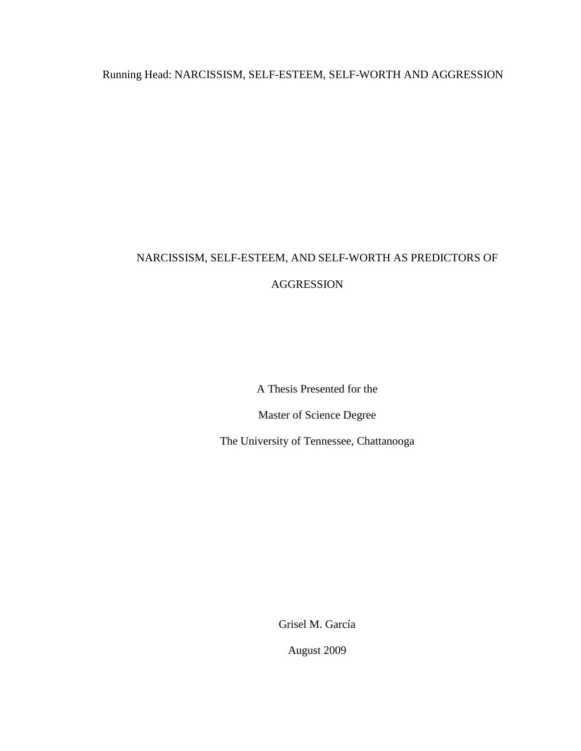# Running Head: NARCISSISM, SELF-ESTEEM, SELF-WORTH AND AGGRESSION

# NARCISSISM, SELF-ESTEEM, AND SELF-WORTH AS PREDICTORS OF AGGRESSION

A Thesis Presented for the

Master of Science Degree

The University of Tennessee, Chattanooga

Grisel M. García

August 2009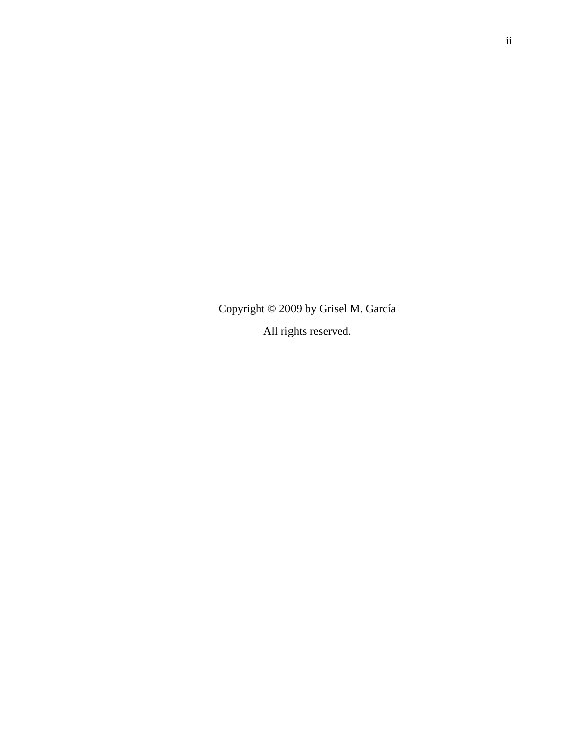Copyright © 2009 by Grisel M. García

All rights reserved.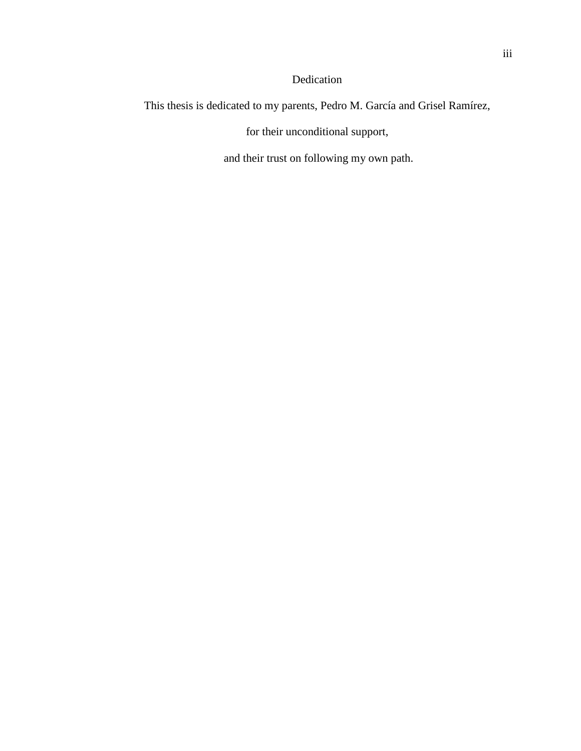# Dedication

This thesis is dedicated to my parents, Pedro M. García and Grisel Ramírez,

for their unconditional support,

and their trust on following my own path.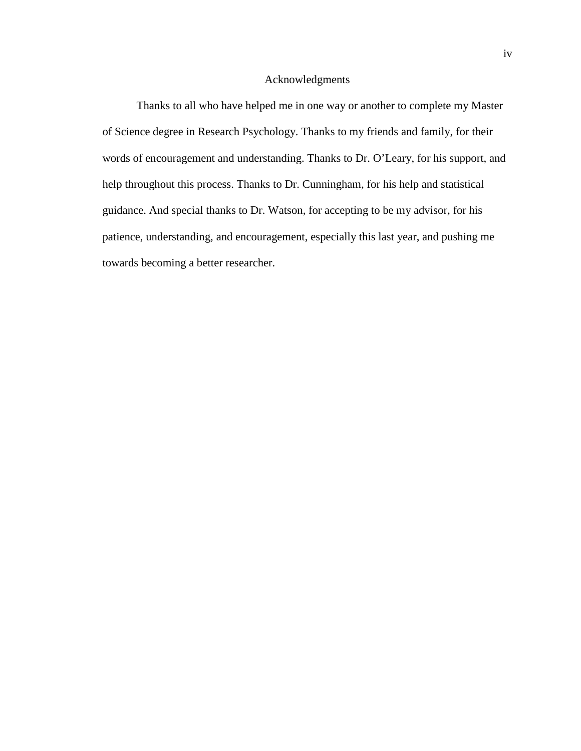## Acknowledgments

Thanks to all who have helped me in one way or another to complete my Master of Science degree in Research Psychology. Thanks to my friends and family, for their words of encouragement and understanding. Thanks to Dr. O'Leary, for his support, and help throughout this process. Thanks to Dr. Cunningham, for his help and statistical guidance. And special thanks to Dr. Watson, for accepting to be my advisor, for his patience, understanding, and encouragement, especially this last year, and pushing me towards becoming a better researcher.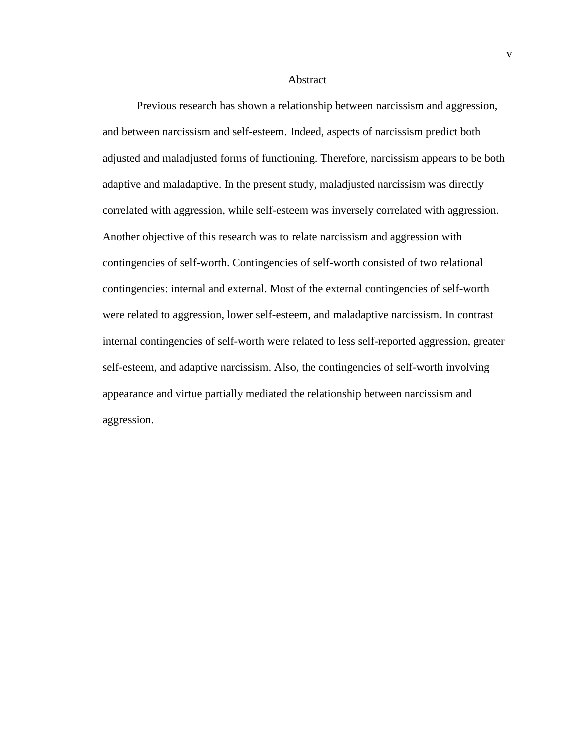Abstract

Previous research has shown a relationship between narcissism and aggression, and between narcissism and self-esteem. Indeed, aspects of narcissism predict both adjusted and maladjusted forms of functioning. Therefore, narcissism appears to be both adaptive and maladaptive. In the present study, maladjusted narcissism was directly correlated with aggression, while self-esteem was inversely correlated with aggression. Another objective of this research was to relate narcissism and aggression with contingencies of self-worth. Contingencies of self-worth consisted of two relational contingencies: internal and external. Most of the external contingencies of self-worth were related to aggression, lower self-esteem, and maladaptive narcissism. In contrast internal contingencies of self-worth were related to less self-reported aggression, greater self-esteem, and adaptive narcissism. Also, the contingencies of self-worth involving appearance and virtue partially mediated the relationship between narcissism and aggression.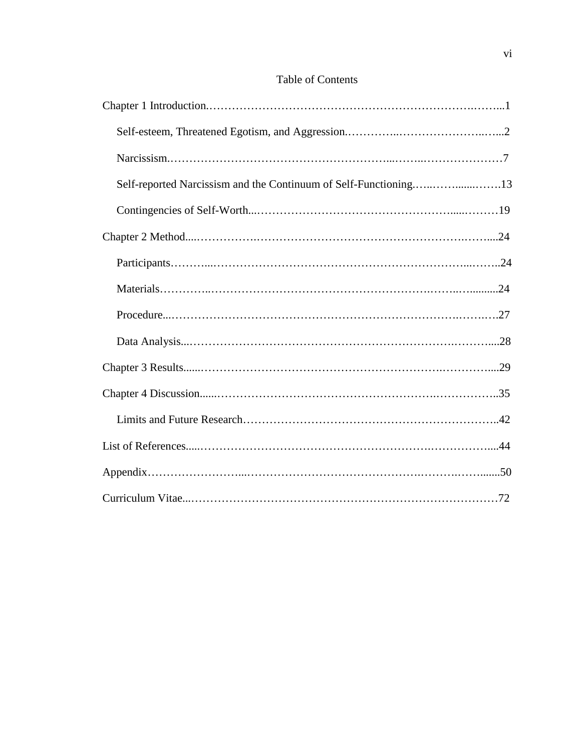|  | Table of Contents |
|--|-------------------|
|--|-------------------|

| Self-reported Narcissism and the Continuum of Self-Functioning13 |
|------------------------------------------------------------------|
|                                                                  |
|                                                                  |
|                                                                  |
|                                                                  |
|                                                                  |
|                                                                  |
|                                                                  |
|                                                                  |
|                                                                  |
|                                                                  |
|                                                                  |
|                                                                  |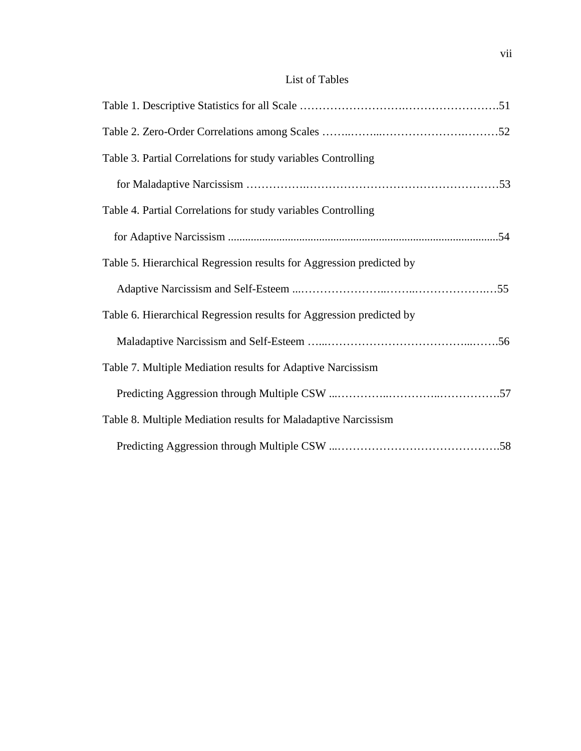# List of Tables

| Table 3. Partial Correlations for study variables Controlling        |  |
|----------------------------------------------------------------------|--|
|                                                                      |  |
| Table 4. Partial Correlations for study variables Controlling        |  |
|                                                                      |  |
| Table 5. Hierarchical Regression results for Aggression predicted by |  |
|                                                                      |  |
| Table 6. Hierarchical Regression results for Aggression predicted by |  |
|                                                                      |  |
| Table 7. Multiple Mediation results for Adaptive Narcissism          |  |
|                                                                      |  |
| Table 8. Multiple Mediation results for Maladaptive Narcissism       |  |
|                                                                      |  |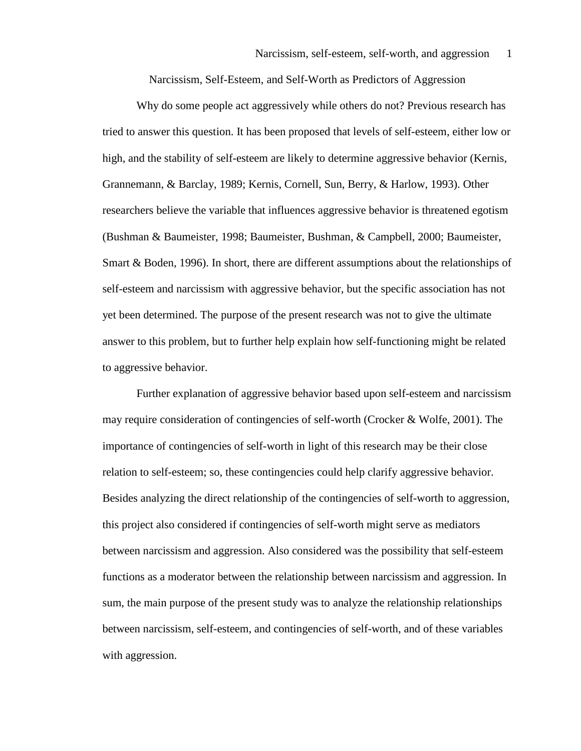Narcissism, Self-Esteem, and Self-Worth as Predictors of Aggression

Why do some people act aggressively while others do not? Previous research has tried to answer this question. It has been proposed that levels of self-esteem, either low or high, and the stability of self-esteem are likely to determine aggressive behavior (Kernis, Grannemann, & Barclay, 1989; Kernis, Cornell, Sun, Berry, & Harlow, 1993). Other researchers believe the variable that influences aggressive behavior is threatened egotism (Bushman & Baumeister, 1998; Baumeister, Bushman, & Campbell, 2000; Baumeister, Smart & Boden, 1996). In short, there are different assumptions about the relationships of self-esteem and narcissism with aggressive behavior, but the specific association has not yet been determined. The purpose of the present research was not to give the ultimate answer to this problem, but to further help explain how self-functioning might be related to aggressive behavior.

Further explanation of aggressive behavior based upon self-esteem and narcissism may require consideration of contingencies of self-worth (Crocker & Wolfe, 2001). The importance of contingencies of self-worth in light of this research may be their close relation to self-esteem; so, these contingencies could help clarify aggressive behavior. Besides analyzing the direct relationship of the contingencies of self-worth to aggression, this project also considered if contingencies of self-worth might serve as mediators between narcissism and aggression. Also considered was the possibility that self-esteem functions as a moderator between the relationship between narcissism and aggression. In sum, the main purpose of the present study was to analyze the relationship relationships between narcissism, self-esteem, and contingencies of self-worth, and of these variables with aggression.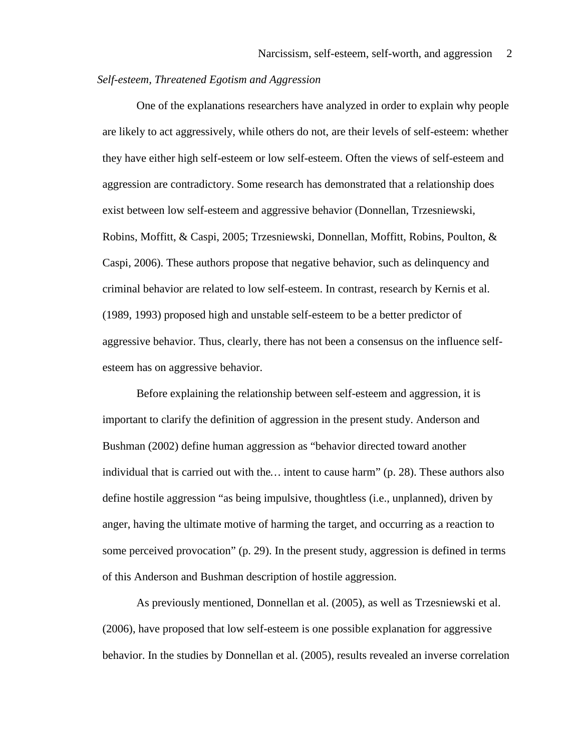## *Self-esteem, Threatened Egotism and Aggression*

One of the explanations researchers have analyzed in order to explain why people are likely to act aggressively, while others do not, are their levels of self-esteem: whether they have either high self-esteem or low self-esteem. Often the views of self-esteem and aggression are contradictory. Some research has demonstrated that a relationship does exist between low self-esteem and aggressive behavior (Donnellan, Trzesniewski, Robins, Moffitt, & Caspi, 2005; Trzesniewski, Donnellan, Moffitt, Robins, Poulton, & Caspi, 2006). These authors propose that negative behavior, such as delinquency and criminal behavior are related to low self-esteem. In contrast, research by Kernis et al. (1989, 1993) proposed high and unstable self-esteem to be a better predictor of aggressive behavior. Thus, clearly, there has not been a consensus on the influence selfesteem has on aggressive behavior.

Before explaining the relationship between self-esteem and aggression, it is important to clarify the definition of aggression in the present study. Anderson and Bushman (2002) define human aggression as "behavior directed toward another individual that is carried out with the*…* intent to cause harm" (p. 28). These authors also define hostile aggression "as being impulsive, thoughtless (i.e., unplanned), driven by anger, having the ultimate motive of harming the target, and occurring as a reaction to some perceived provocation" (p. 29). In the present study, aggression is defined in terms of this Anderson and Bushman description of hostile aggression.

As previously mentioned, Donnellan et al. (2005), as well as Trzesniewski et al. (2006), have proposed that low self-esteem is one possible explanation for aggressive behavior. In the studies by Donnellan et al. (2005), results revealed an inverse correlation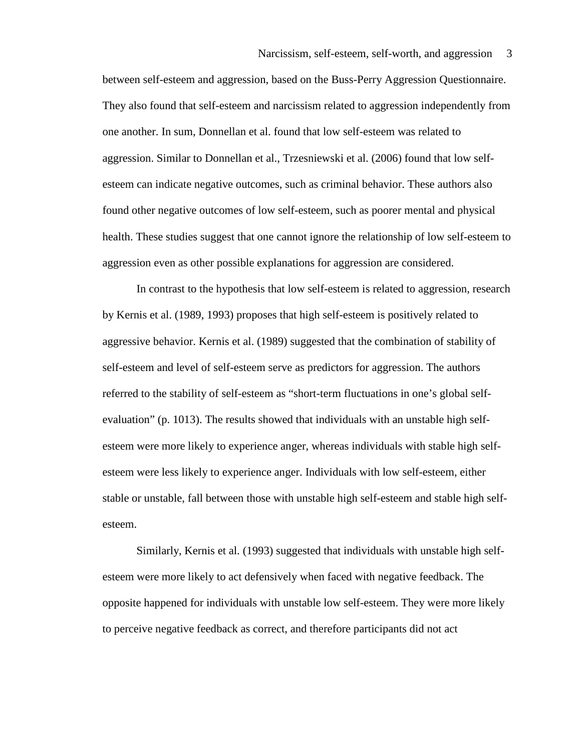between self-esteem and aggression, based on the Buss-Perry Aggression Questionnaire. They also found that self-esteem and narcissism related to aggression independently from one another. In sum, Donnellan et al. found that low self-esteem was related to aggression. Similar to Donnellan et al., Trzesniewski et al. (2006) found that low selfesteem can indicate negative outcomes, such as criminal behavior. These authors also found other negative outcomes of low self-esteem, such as poorer mental and physical health. These studies suggest that one cannot ignore the relationship of low self-esteem to aggression even as other possible explanations for aggression are considered.

In contrast to the hypothesis that low self-esteem is related to aggression, research by Kernis et al. (1989, 1993) proposes that high self-esteem is positively related to aggressive behavior. Kernis et al. (1989) suggested that the combination of stability of self-esteem and level of self-esteem serve as predictors for aggression. The authors referred to the stability of self-esteem as "short-term fluctuations in one's global selfevaluation" (p. 1013). The results showed that individuals with an unstable high selfesteem were more likely to experience anger, whereas individuals with stable high selfesteem were less likely to experience anger. Individuals with low self-esteem, either stable or unstable, fall between those with unstable high self-esteem and stable high selfesteem.

Similarly, Kernis et al. (1993) suggested that individuals with unstable high selfesteem were more likely to act defensively when faced with negative feedback. The opposite happened for individuals with unstable low self-esteem. They were more likely to perceive negative feedback as correct, and therefore participants did not act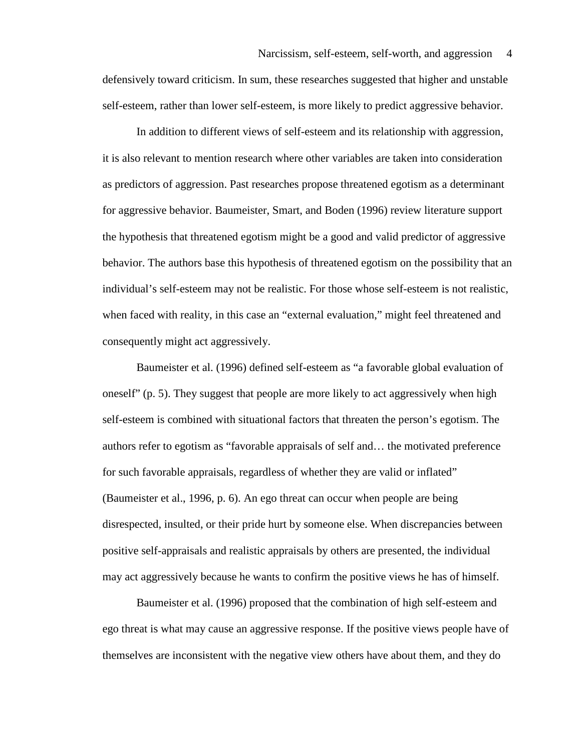defensively toward criticism. In sum, these researches suggested that higher and unstable self-esteem, rather than lower self-esteem, is more likely to predict aggressive behavior.

In addition to different views of self-esteem and its relationship with aggression, it is also relevant to mention research where other variables are taken into consideration as predictors of aggression. Past researches propose threatened egotism as a determinant for aggressive behavior. Baumeister, Smart, and Boden (1996) review literature support the hypothesis that threatened egotism might be a good and valid predictor of aggressive behavior. The authors base this hypothesis of threatened egotism on the possibility that an individual's self-esteem may not be realistic. For those whose self-esteem is not realistic, when faced with reality, in this case an "external evaluation," might feel threatened and consequently might act aggressively.

Baumeister et al. (1996) defined self-esteem as "a favorable global evaluation of oneself" (p. 5). They suggest that people are more likely to act aggressively when high self-esteem is combined with situational factors that threaten the person's egotism. The authors refer to egotism as "favorable appraisals of self and… the motivated preference for such favorable appraisals, regardless of whether they are valid or inflated" (Baumeister et al., 1996, p. 6). An ego threat can occur when people are being disrespected, insulted, or their pride hurt by someone else. When discrepancies between positive self-appraisals and realistic appraisals by others are presented, the individual may act aggressively because he wants to confirm the positive views he has of himself.

Baumeister et al. (1996) proposed that the combination of high self-esteem and ego threat is what may cause an aggressive response. If the positive views people have of themselves are inconsistent with the negative view others have about them, and they do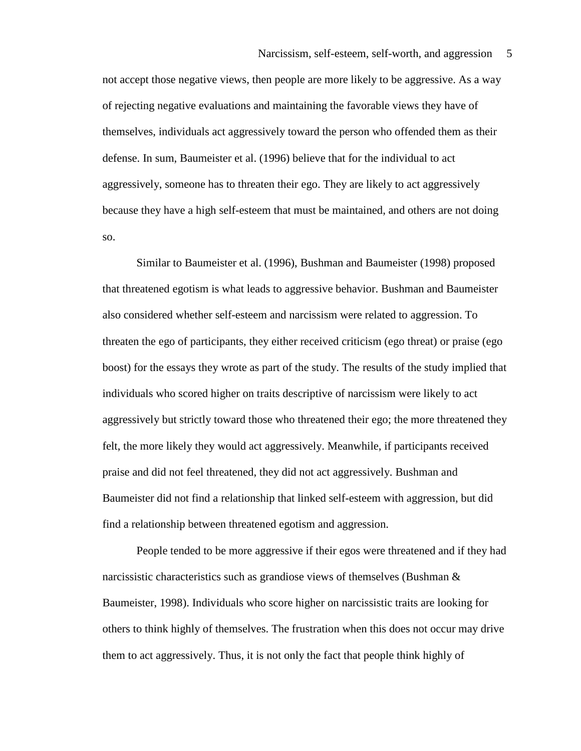not accept those negative views, then people are more likely to be aggressive. As a way of rejecting negative evaluations and maintaining the favorable views they have of themselves, individuals act aggressively toward the person who offended them as their defense. In sum, Baumeister et al. (1996) believe that for the individual to act aggressively, someone has to threaten their ego. They are likely to act aggressively because they have a high self-esteem that must be maintained, and others are not doing so.

Similar to Baumeister et al. (1996), Bushman and Baumeister (1998) proposed that threatened egotism is what leads to aggressive behavior. Bushman and Baumeister also considered whether self-esteem and narcissism were related to aggression. To threaten the ego of participants, they either received criticism (ego threat) or praise (ego boost) for the essays they wrote as part of the study. The results of the study implied that individuals who scored higher on traits descriptive of narcissism were likely to act aggressively but strictly toward those who threatened their ego; the more threatened they felt, the more likely they would act aggressively. Meanwhile, if participants received praise and did not feel threatened, they did not act aggressively. Bushman and Baumeister did not find a relationship that linked self-esteem with aggression, but did find a relationship between threatened egotism and aggression.

People tended to be more aggressive if their egos were threatened and if they had narcissistic characteristics such as grandiose views of themselves (Bushman & Baumeister, 1998). Individuals who score higher on narcissistic traits are looking for others to think highly of themselves. The frustration when this does not occur may drive them to act aggressively. Thus, it is not only the fact that people think highly of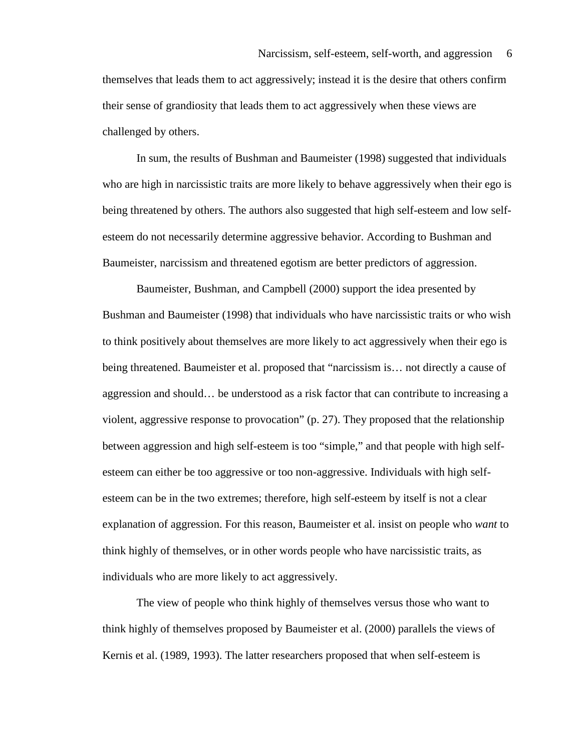themselves that leads them to act aggressively; instead it is the desire that others confirm their sense of grandiosity that leads them to act aggressively when these views are challenged by others.

In sum, the results of Bushman and Baumeister (1998) suggested that individuals who are high in narcissistic traits are more likely to behave aggressively when their ego is being threatened by others. The authors also suggested that high self-esteem and low selfesteem do not necessarily determine aggressive behavior. According to Bushman and Baumeister, narcissism and threatened egotism are better predictors of aggression.

Baumeister, Bushman, and Campbell (2000) support the idea presented by Bushman and Baumeister (1998) that individuals who have narcissistic traits or who wish to think positively about themselves are more likely to act aggressively when their ego is being threatened. Baumeister et al. proposed that "narcissism is… not directly a cause of aggression and should… be understood as a risk factor that can contribute to increasing a violent, aggressive response to provocation" (p. 27). They proposed that the relationship between aggression and high self-esteem is too "simple," and that people with high selfesteem can either be too aggressive or too non-aggressive. Individuals with high selfesteem can be in the two extremes; therefore, high self-esteem by itself is not a clear explanation of aggression. For this reason, Baumeister et al. insist on people who *want* to think highly of themselves, or in other words people who have narcissistic traits, as individuals who are more likely to act aggressively.

The view of people who think highly of themselves versus those who want to think highly of themselves proposed by Baumeister et al. (2000) parallels the views of Kernis et al. (1989, 1993). The latter researchers proposed that when self-esteem is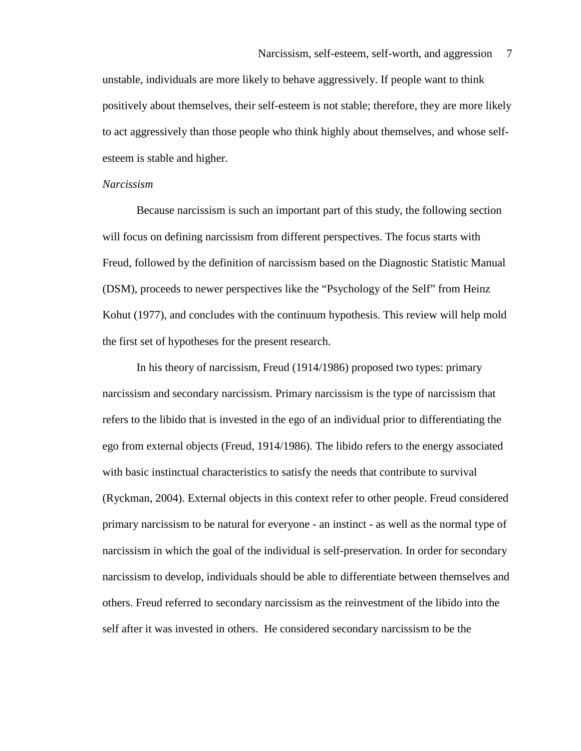unstable, individuals are more likely to behave aggressively. If people want to think positively about themselves, their self-esteem is not stable; therefore, they are more likely to act aggressively than those people who think highly about themselves, and whose selfesteem is stable and higher.

## *Narcissism*

Because narcissism is such an important part of this study, the following section will focus on defining narcissism from different perspectives. The focus starts with Freud, followed by the definition of narcissism based on the Diagnostic Statistic Manual (DSM), proceeds to newer perspectives like the "Psychology of the Self" from Heinz Kohut (1977), and concludes with the continuum hypothesis. This review will help mold the first set of hypotheses for the present research.

In his theory of narcissism, Freud (1914/1986) proposed two types: primary narcissism and secondary narcissism. Primary narcissism is the type of narcissism that refers to the libido that is invested in the ego of an individual prior to differentiating the ego from external objects (Freud, 1914/1986). The libido refers to the energy associated with basic instinctual characteristics to satisfy the needs that contribute to survival (Ryckman, 2004). External objects in this context refer to other people. Freud considered primary narcissism to be natural for everyone - an instinct - as well as the normal type of narcissism in which the goal of the individual is self-preservation. In order for secondary narcissism to develop, individuals should be able to differentiate between themselves and others. Freud referred to secondary narcissism as the reinvestment of the libido into the self after it was invested in others. He considered secondary narcissism to be the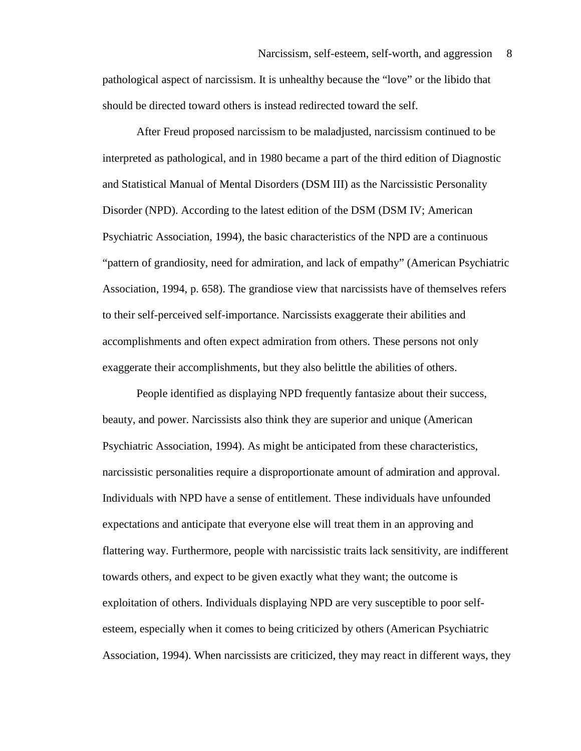pathological aspect of narcissism. It is unhealthy because the "love" or the libido that should be directed toward others is instead redirected toward the self.

After Freud proposed narcissism to be maladjusted, narcissism continued to be interpreted as pathological, and in 1980 became a part of the third edition of Diagnostic and Statistical Manual of Mental Disorders (DSM III) as the Narcissistic Personality Disorder (NPD). According to the latest edition of the DSM (DSM IV; American Psychiatric Association, 1994), the basic characteristics of the NPD are a continuous "pattern of grandiosity, need for admiration, and lack of empathy" (American Psychiatric Association, 1994, p. 658). The grandiose view that narcissists have of themselves refers to their self-perceived self-importance. Narcissists exaggerate their abilities and accomplishments and often expect admiration from others. These persons not only exaggerate their accomplishments, but they also belittle the abilities of others.

People identified as displaying NPD frequently fantasize about their success, beauty, and power. Narcissists also think they are superior and unique (American Psychiatric Association, 1994). As might be anticipated from these characteristics, narcissistic personalities require a disproportionate amount of admiration and approval. Individuals with NPD have a sense of entitlement. These individuals have unfounded expectations and anticipate that everyone else will treat them in an approving and flattering way. Furthermore, people with narcissistic traits lack sensitivity, are indifferent towards others, and expect to be given exactly what they want; the outcome is exploitation of others. Individuals displaying NPD are very susceptible to poor selfesteem, especially when it comes to being criticized by others (American Psychiatric Association, 1994). When narcissists are criticized, they may react in different ways, they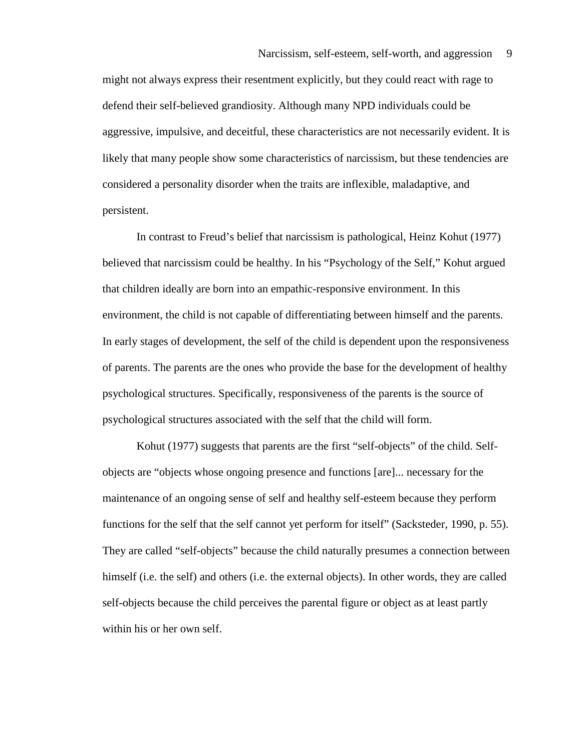might not always express their resentment explicitly, but they could react with rage to defend their self-believed grandiosity. Although many NPD individuals could be aggressive, impulsive, and deceitful, these characteristics are not necessarily evident. It is likely that many people show some characteristics of narcissism, but these tendencies are considered a personality disorder when the traits are inflexible, maladaptive, and persistent.

In contrast to Freud's belief that narcissism is pathological, Heinz Kohut (1977) believed that narcissism could be healthy. In his "Psychology of the Self," Kohut argued that children ideally are born into an empathic-responsive environment. In this environment, the child is not capable of differentiating between himself and the parents. In early stages of development, the self of the child is dependent upon the responsiveness of parents. The parents are the ones who provide the base for the development of healthy psychological structures. Specifically, responsiveness of the parents is the source of psychological structures associated with the self that the child will form.

Kohut (1977) suggests that parents are the first "self-objects" of the child. Selfobjects are "objects whose ongoing presence and functions [are]... necessary for the maintenance of an ongoing sense of self and healthy self-esteem because they perform functions for the self that the self cannot yet perform for itself" (Sacksteder, 1990, p. 55). They are called "self-objects" because the child naturally presumes a connection between himself (i.e. the self) and others (i.e. the external objects). In other words, they are called self-objects because the child perceives the parental figure or object as at least partly within his or her own self.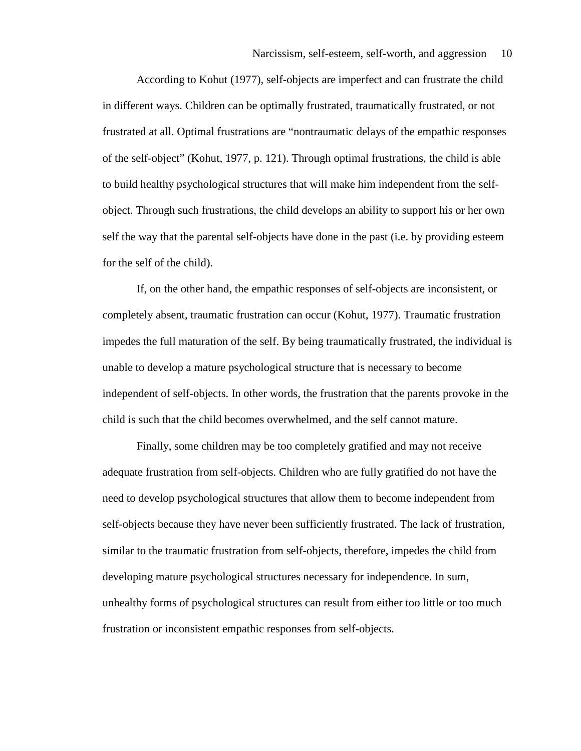According to Kohut (1977), self-objects are imperfect and can frustrate the child in different ways. Children can be optimally frustrated, traumatically frustrated, or not frustrated at all. Optimal frustrations are "nontraumatic delays of the empathic responses of the self-object" (Kohut, 1977, p. 121). Through optimal frustrations, the child is able to build healthy psychological structures that will make him independent from the selfobject*.* Through such frustrations, the child develops an ability to support his or her own self the way that the parental self-objects have done in the past (i.e. by providing esteem for the self of the child).

If, on the other hand, the empathic responses of self-objects are inconsistent, or completely absent, traumatic frustration can occur (Kohut, 1977). Traumatic frustration impedes the full maturation of the self. By being traumatically frustrated, the individual is unable to develop a mature psychological structure that is necessary to become independent of self-objects. In other words, the frustration that the parents provoke in the child is such that the child becomes overwhelmed, and the self cannot mature.

Finally, some children may be too completely gratified and may not receive adequate frustration from self-objects. Children who are fully gratified do not have the need to develop psychological structures that allow them to become independent from self-objects because they have never been sufficiently frustrated. The lack of frustration, similar to the traumatic frustration from self-objects, therefore, impedes the child from developing mature psychological structures necessary for independence. In sum, unhealthy forms of psychological structures can result from either too little or too much frustration or inconsistent empathic responses from self-objects.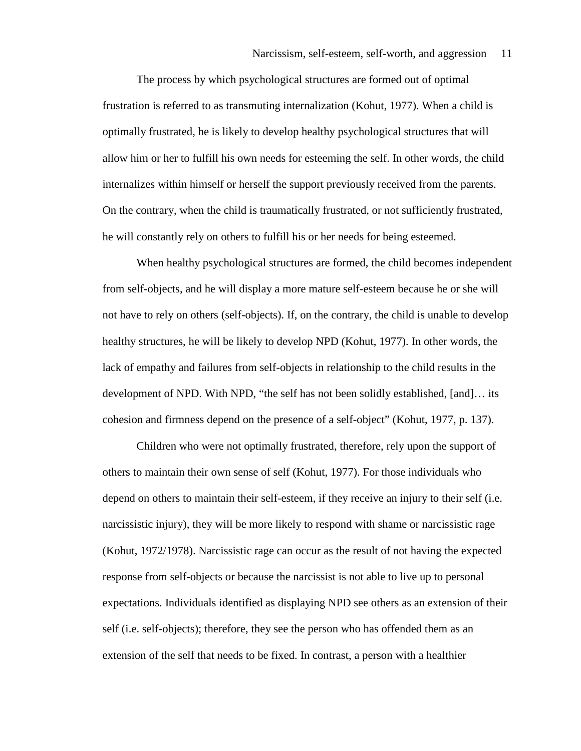The process by which psychological structures are formed out of optimal frustration is referred to as transmuting internalization (Kohut, 1977). When a child is optimally frustrated, he is likely to develop healthy psychological structures that will allow him or her to fulfill his own needs for esteeming the self. In other words, the child internalizes within himself or herself the support previously received from the parents. On the contrary, when the child is traumatically frustrated, or not sufficiently frustrated, he will constantly rely on others to fulfill his or her needs for being esteemed.

When healthy psychological structures are formed, the child becomes independent from self-objects, and he will display a more mature self-esteem because he or she will not have to rely on others (self-objects). If, on the contrary, the child is unable to develop healthy structures, he will be likely to develop NPD (Kohut, 1977). In other words, the lack of empathy and failures from self-objects in relationship to the child results in the development of NPD. With NPD, "the self has not been solidly established, [and]… its cohesion and firmness depend on the presence of a self-object" (Kohut, 1977, p. 137).

Children who were not optimally frustrated, therefore, rely upon the support of others to maintain their own sense of self (Kohut, 1977). For those individuals who depend on others to maintain their self-esteem, if they receive an injury to their self (i.e. narcissistic injury), they will be more likely to respond with shame or narcissistic rage (Kohut, 1972/1978). Narcissistic rage can occur as the result of not having the expected response from self-objects or because the narcissist is not able to live up to personal expectations. Individuals identified as displaying NPD see others as an extension of their self (i.e. self-objects); therefore, they see the person who has offended them as an extension of the self that needs to be fixed. In contrast, a person with a healthier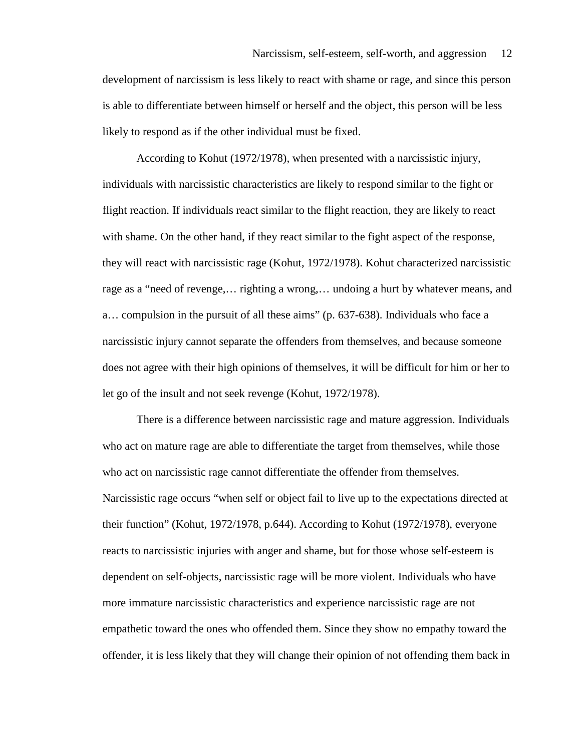development of narcissism is less likely to react with shame or rage, and since this person is able to differentiate between himself or herself and the object, this person will be less likely to respond as if the other individual must be fixed.

According to Kohut (1972/1978), when presented with a narcissistic injury, individuals with narcissistic characteristics are likely to respond similar to the fight or flight reaction. If individuals react similar to the flight reaction, they are likely to react with shame. On the other hand, if they react similar to the fight aspect of the response, they will react with narcissistic rage (Kohut, 1972/1978). Kohut characterized narcissistic rage as a "need of revenge,… righting a wrong,… undoing a hurt by whatever means, and a… compulsion in the pursuit of all these aims" (p. 637-638). Individuals who face a narcissistic injury cannot separate the offenders from themselves, and because someone does not agree with their high opinions of themselves, it will be difficult for him or her to let go of the insult and not seek revenge (Kohut, 1972/1978).

There is a difference between narcissistic rage and mature aggression. Individuals who act on mature rage are able to differentiate the target from themselves, while those who act on narcissistic rage cannot differentiate the offender from themselves. Narcissistic rage occurs "when self or object fail to live up to the expectations directed at their function" (Kohut, 1972/1978, p.644). According to Kohut (1972/1978), everyone reacts to narcissistic injuries with anger and shame, but for those whose self-esteem is dependent on self-objects, narcissistic rage will be more violent. Individuals who have more immature narcissistic characteristics and experience narcissistic rage are not empathetic toward the ones who offended them. Since they show no empathy toward the offender, it is less likely that they will change their opinion of not offending them back in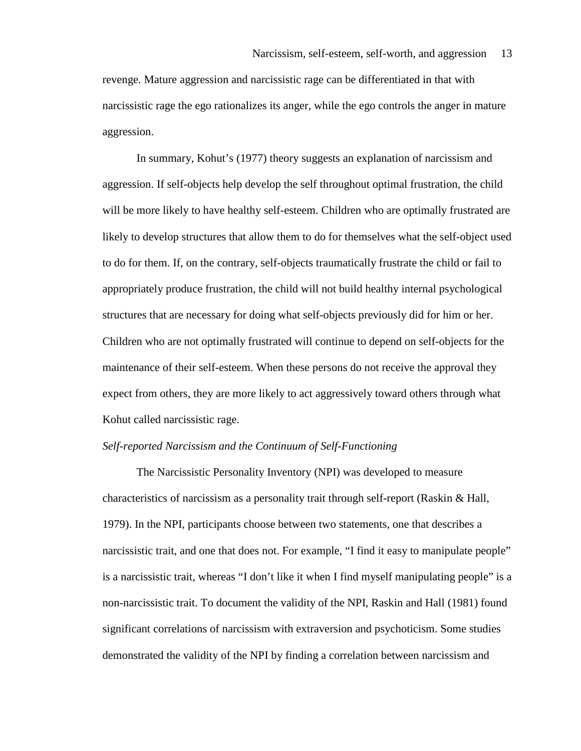revenge. Mature aggression and narcissistic rage can be differentiated in that with narcissistic rage the ego rationalizes its anger, while the ego controls the anger in mature aggression.

In summary, Kohut's (1977) theory suggests an explanation of narcissism and aggression. If self-objects help develop the self throughout optimal frustration, the child will be more likely to have healthy self-esteem. Children who are optimally frustrated are likely to develop structures that allow them to do for themselves what the self-object used to do for them. If, on the contrary, self-objects traumatically frustrate the child or fail to appropriately produce frustration, the child will not build healthy internal psychological structures that are necessary for doing what self-objects previously did for him or her. Children who are not optimally frustrated will continue to depend on self-objects for the maintenance of their self-esteem. When these persons do not receive the approval they expect from others, they are more likely to act aggressively toward others through what Kohut called narcissistic rage.

# *Self-reported Narcissism and the Continuum of Self-Functioning*

The Narcissistic Personality Inventory (NPI) was developed to measure characteristics of narcissism as a personality trait through self-report (Raskin  $\&$  Hall, 1979). In the NPI, participants choose between two statements, one that describes a narcissistic trait, and one that does not. For example, "I find it easy to manipulate people" is a narcissistic trait, whereas "I don't like it when I find myself manipulating people" is a non-narcissistic trait. To document the validity of the NPI, Raskin and Hall (1981) found significant correlations of narcissism with extraversion and psychoticism. Some studies demonstrated the validity of the NPI by finding a correlation between narcissism and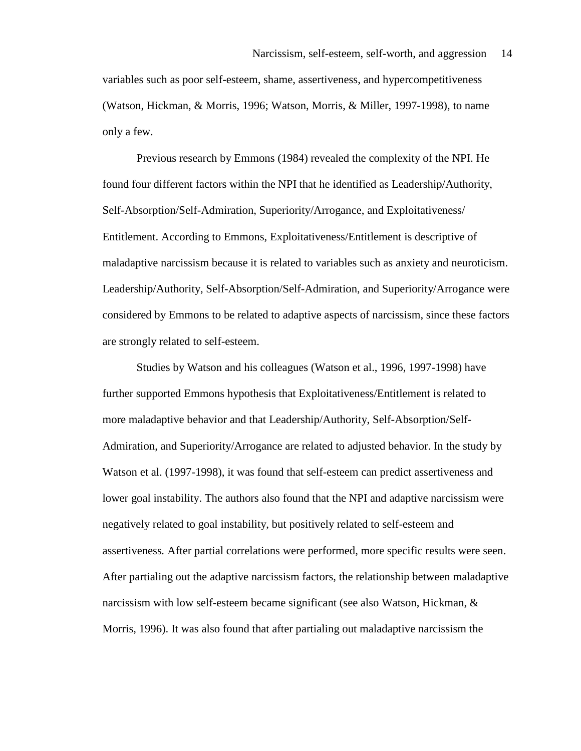variables such as poor self-esteem, shame, assertiveness, and hypercompetitiveness (Watson, Hickman, & Morris, 1996; Watson, Morris, & Miller, 1997-1998), to name only a few.

Previous research by Emmons (1984) revealed the complexity of the NPI. He found four different factors within the NPI that he identified as Leadership/Authority, Self-Absorption/Self-Admiration, Superiority/Arrogance, and Exploitativeness/ Entitlement. According to Emmons, Exploitativeness/Entitlement is descriptive of maladaptive narcissism because it is related to variables such as anxiety and neuroticism. Leadership/Authority, Self-Absorption/Self-Admiration, and Superiority/Arrogance were considered by Emmons to be related to adaptive aspects of narcissism, since these factors are strongly related to self-esteem.

Studies by Watson and his colleagues (Watson et al., 1996, 1997-1998) have further supported Emmons hypothesis that Exploitativeness/Entitlement is related to more maladaptive behavior and that Leadership/Authority, Self-Absorption/Self-Admiration, and Superiority/Arrogance are related to adjusted behavior. In the study by Watson et al. (1997-1998), it was found that self-esteem can predict assertiveness and lower goal instability. The authors also found that the NPI and adaptive narcissism were negatively related to goal instability, but positively related to self-esteem and assertiveness*.* After partial correlations were performed, more specific results were seen. After partialing out the adaptive narcissism factors, the relationship between maladaptive narcissism with low self-esteem became significant (see also Watson, Hickman, & Morris, 1996). It was also found that after partialing out maladaptive narcissism the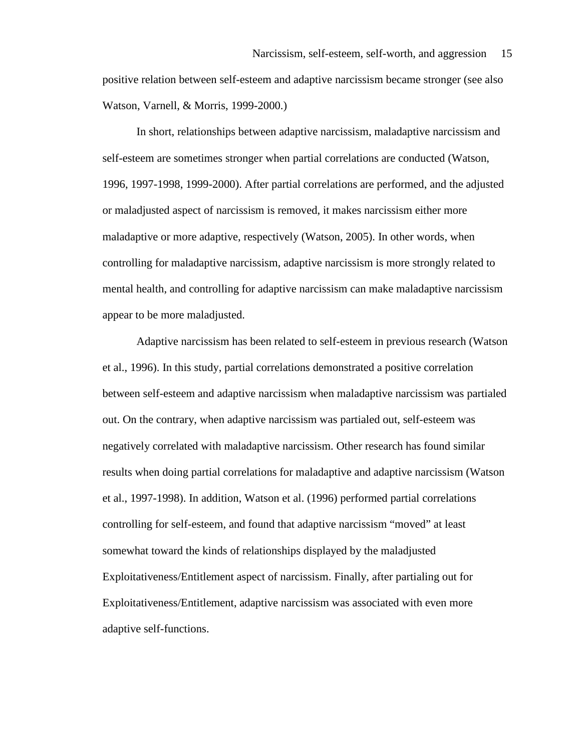positive relation between self-esteem and adaptive narcissism became stronger (see also Watson, Varnell, & Morris, 1999-2000.)

In short, relationships between adaptive narcissism, maladaptive narcissism and self-esteem are sometimes stronger when partial correlations are conducted (Watson, 1996, 1997-1998, 1999-2000). After partial correlations are performed, and the adjusted or maladjusted aspect of narcissism is removed, it makes narcissism either more maladaptive or more adaptive, respectively (Watson, 2005). In other words, when controlling for maladaptive narcissism, adaptive narcissism is more strongly related to mental health, and controlling for adaptive narcissism can make maladaptive narcissism appear to be more maladjusted.

Adaptive narcissism has been related to self-esteem in previous research (Watson et al., 1996). In this study, partial correlations demonstrated a positive correlation between self-esteem and adaptive narcissism when maladaptive narcissism was partialed out. On the contrary, when adaptive narcissism was partialed out, self-esteem was negatively correlated with maladaptive narcissism. Other research has found similar results when doing partial correlations for maladaptive and adaptive narcissism (Watson et al., 1997-1998). In addition, Watson et al. (1996) performed partial correlations controlling for self-esteem, and found that adaptive narcissism "moved" at least somewhat toward the kinds of relationships displayed by the maladjusted Exploitativeness/Entitlement aspect of narcissism. Finally, after partialing out for Exploitativeness/Entitlement, adaptive narcissism was associated with even more adaptive self-functions.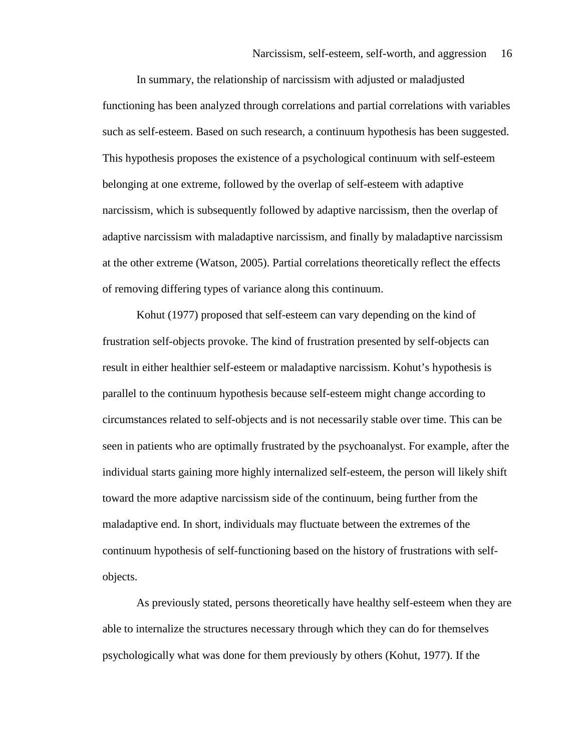In summary, the relationship of narcissism with adjusted or maladjusted functioning has been analyzed through correlations and partial correlations with variables such as self-esteem. Based on such research, a continuum hypothesis has been suggested. This hypothesis proposes the existence of a psychological continuum with self-esteem belonging at one extreme, followed by the overlap of self-esteem with adaptive narcissism, which is subsequently followed by adaptive narcissism, then the overlap of adaptive narcissism with maladaptive narcissism, and finally by maladaptive narcissism at the other extreme (Watson, 2005). Partial correlations theoretically reflect the effects of removing differing types of variance along this continuum.

Kohut (1977) proposed that self-esteem can vary depending on the kind of frustration self-objects provoke. The kind of frustration presented by self-objects can result in either healthier self-esteem or maladaptive narcissism. Kohut's hypothesis is parallel to the continuum hypothesis because self-esteem might change according to circumstances related to self-objects and is not necessarily stable over time. This can be seen in patients who are optimally frustrated by the psychoanalyst. For example, after the individual starts gaining more highly internalized self-esteem, the person will likely shift toward the more adaptive narcissism side of the continuum, being further from the maladaptive end. In short, individuals may fluctuate between the extremes of the continuum hypothesis of self-functioning based on the history of frustrations with selfobjects.

As previously stated, persons theoretically have healthy self-esteem when they are able to internalize the structures necessary through which they can do for themselves psychologically what was done for them previously by others (Kohut, 1977). If the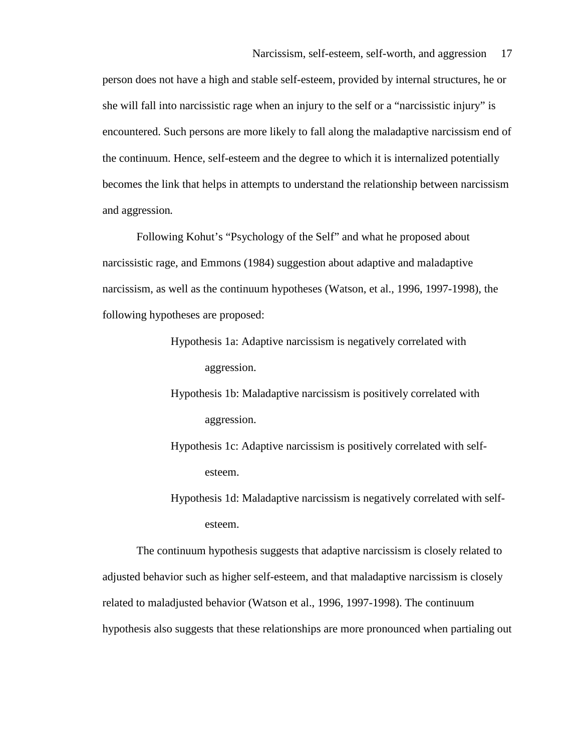person does not have a high and stable self-esteem, provided by internal structures, he or she will fall into narcissistic rage when an injury to the self or a "narcissistic injury" is encountered. Such persons are more likely to fall along the maladaptive narcissism end of the continuum. Hence, self-esteem and the degree to which it is internalized potentially becomes the link that helps in attempts to understand the relationship between narcissism and aggression*.*

Following Kohut's "Psychology of the Self" and what he proposed about narcissistic rage, and Emmons (1984) suggestion about adaptive and maladaptive narcissism, as well as the continuum hypotheses (Watson, et al., 1996, 1997-1998), the following hypotheses are proposed:

> Hypothesis 1a: Adaptive narcissism is negatively correlated with aggression.

Hypothesis 1b: Maladaptive narcissism is positively correlated with aggression.

Hypothesis 1c: Adaptive narcissism is positively correlated with selfesteem.

Hypothesis 1d: Maladaptive narcissism is negatively correlated with selfesteem.

The continuum hypothesis suggests that adaptive narcissism is closely related to adjusted behavior such as higher self-esteem, and that maladaptive narcissism is closely related to maladjusted behavior (Watson et al., 1996, 1997-1998). The continuum hypothesis also suggests that these relationships are more pronounced when partialing out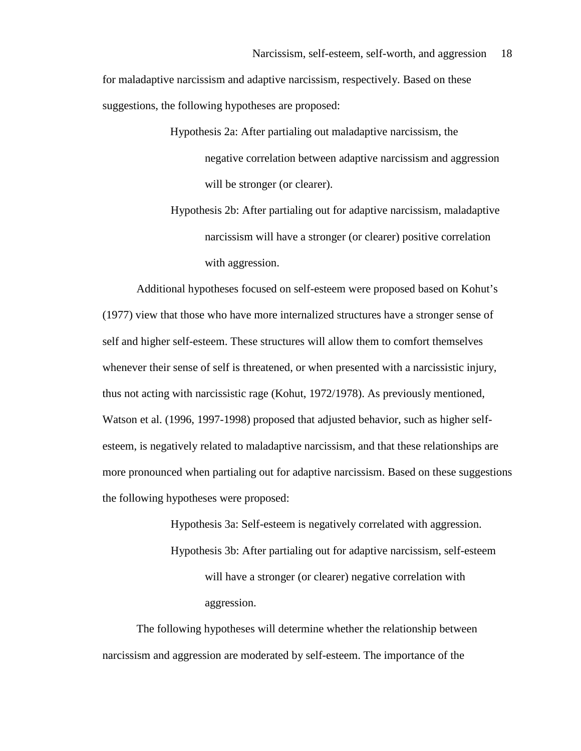for maladaptive narcissism and adaptive narcissism, respectively. Based on these suggestions, the following hypotheses are proposed:

> Hypothesis 2a: After partialing out maladaptive narcissism, the negative correlation between adaptive narcissism and aggression will be stronger (or clearer).

> Hypothesis 2b: After partialing out for adaptive narcissism, maladaptive narcissism will have a stronger (or clearer) positive correlation with aggression.

Additional hypotheses focused on self-esteem were proposed based on Kohut's (1977) view that those who have more internalized structures have a stronger sense of self and higher self-esteem. These structures will allow them to comfort themselves whenever their sense of self is threatened, or when presented with a narcissistic injury, thus not acting with narcissistic rage (Kohut, 1972/1978). As previously mentioned, Watson et al. (1996, 1997-1998) proposed that adjusted behavior, such as higher selfesteem, is negatively related to maladaptive narcissism, and that these relationships are more pronounced when partialing out for adaptive narcissism. Based on these suggestions the following hypotheses were proposed:

> Hypothesis 3a: Self-esteem is negatively correlated with aggression. Hypothesis 3b: After partialing out for adaptive narcissism, self-esteem will have a stronger (or clearer) negative correlation with aggression.

The following hypotheses will determine whether the relationship between narcissism and aggression are moderated by self-esteem. The importance of the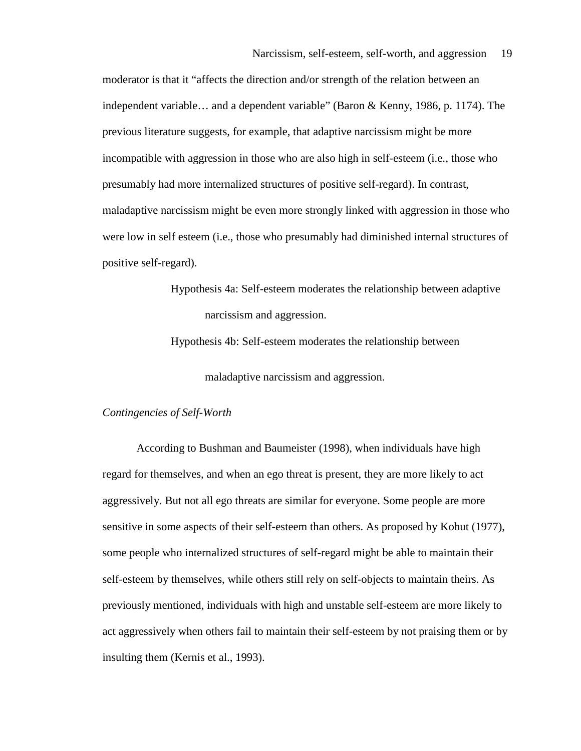moderator is that it "affects the direction and/or strength of the relation between an independent variable… and a dependent variable" (Baron & Kenny, 1986, p. 1174). The previous literature suggests, for example, that adaptive narcissism might be more incompatible with aggression in those who are also high in self-esteem (i.e., those who presumably had more internalized structures of positive self-regard). In contrast, maladaptive narcissism might be even more strongly linked with aggression in those who were low in self esteem (i.e., those who presumably had diminished internal structures of positive self-regard).

> Hypothesis 4a: Self-esteem moderates the relationship between adaptive narcissism and aggression.

Hypothesis 4b: Self-esteem moderates the relationship between

maladaptive narcissism and aggression.

# *Contingencies of Self-Worth*

According to Bushman and Baumeister (1998), when individuals have high regard for themselves, and when an ego threat is present, they are more likely to act aggressively. But not all ego threats are similar for everyone. Some people are more sensitive in some aspects of their self-esteem than others. As proposed by Kohut (1977), some people who internalized structures of self-regard might be able to maintain their self-esteem by themselves, while others still rely on self-objects to maintain theirs. As previously mentioned, individuals with high and unstable self-esteem are more likely to act aggressively when others fail to maintain their self-esteem by not praising them or by insulting them (Kernis et al., 1993).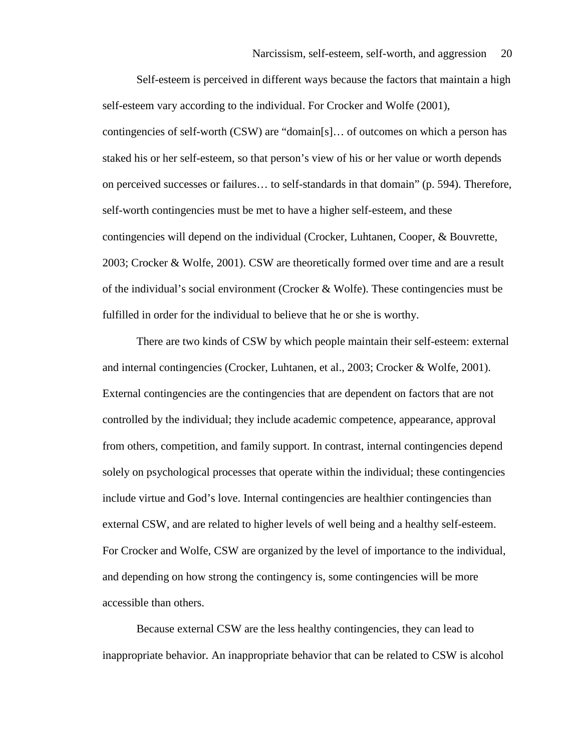Self-esteem is perceived in different ways because the factors that maintain a high self-esteem vary according to the individual. For Crocker and Wolfe (2001), contingencies of self-worth (CSW) are "domain[s]… of outcomes on which a person has staked his or her self-esteem, so that person's view of his or her value or worth depends on perceived successes or failures… to self-standards in that domain" (p. 594). Therefore, self-worth contingencies must be met to have a higher self-esteem, and these contingencies will depend on the individual (Crocker, Luhtanen, Cooper, & Bouvrette, 2003; Crocker & Wolfe, 2001). CSW are theoretically formed over time and are a result of the individual's social environment (Crocker  $\&$  Wolfe). These contingencies must be fulfilled in order for the individual to believe that he or she is worthy.

There are two kinds of CSW by which people maintain their self-esteem: external and internal contingencies (Crocker, Luhtanen, et al., 2003; Crocker & Wolfe, 2001). External contingencies are the contingencies that are dependent on factors that are not controlled by the individual; they include academic competence, appearance, approval from others, competition, and family support. In contrast, internal contingencies depend solely on psychological processes that operate within the individual; these contingencies include virtue and God's love. Internal contingencies are healthier contingencies than external CSW, and are related to higher levels of well being and a healthy self-esteem. For Crocker and Wolfe, CSW are organized by the level of importance to the individual, and depending on how strong the contingency is, some contingencies will be more accessible than others.

Because external CSW are the less healthy contingencies, they can lead to inappropriate behavior. An inappropriate behavior that can be related to CSW is alcohol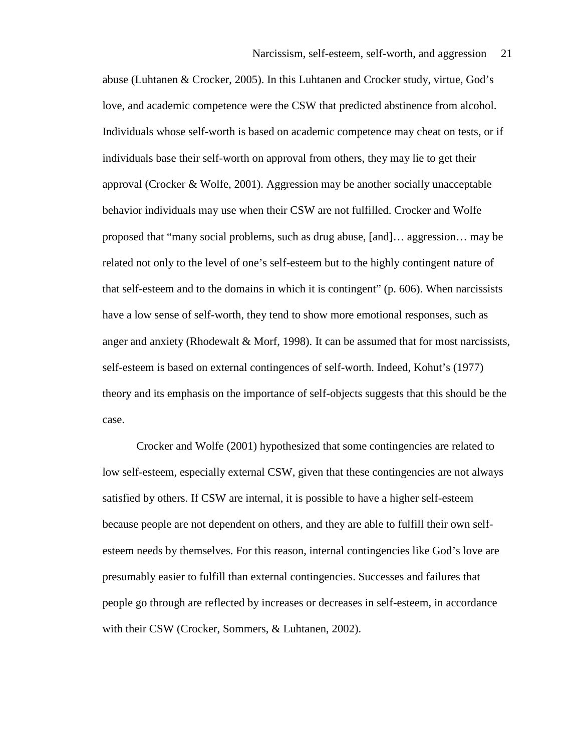abuse (Luhtanen & Crocker, 2005). In this Luhtanen and Crocker study, virtue, God's love, and academic competence were the CSW that predicted abstinence from alcohol. Individuals whose self-worth is based on academic competence may cheat on tests, or if individuals base their self-worth on approval from others, they may lie to get their approval (Crocker & Wolfe, 2001). Aggression may be another socially unacceptable behavior individuals may use when their CSW are not fulfilled. Crocker and Wolfe proposed that "many social problems, such as drug abuse, [and]… aggression… may be related not only to the level of one's self-esteem but to the highly contingent nature of that self-esteem and to the domains in which it is contingent" (p. 606). When narcissists have a low sense of self-worth, they tend to show more emotional responses, such as anger and anxiety (Rhodewalt  $&$  Morf, 1998). It can be assumed that for most narcissists, self-esteem is based on external contingences of self-worth. Indeed, Kohut's (1977) theory and its emphasis on the importance of self-objects suggests that this should be the case.

Crocker and Wolfe (2001) hypothesized that some contingencies are related to low self-esteem, especially external CSW, given that these contingencies are not always satisfied by others. If CSW are internal, it is possible to have a higher self-esteem because people are not dependent on others, and they are able to fulfill their own selfesteem needs by themselves. For this reason, internal contingencies like God's love are presumably easier to fulfill than external contingencies. Successes and failures that people go through are reflected by increases or decreases in self-esteem, in accordance with their CSW (Crocker, Sommers, & Luhtanen, 2002).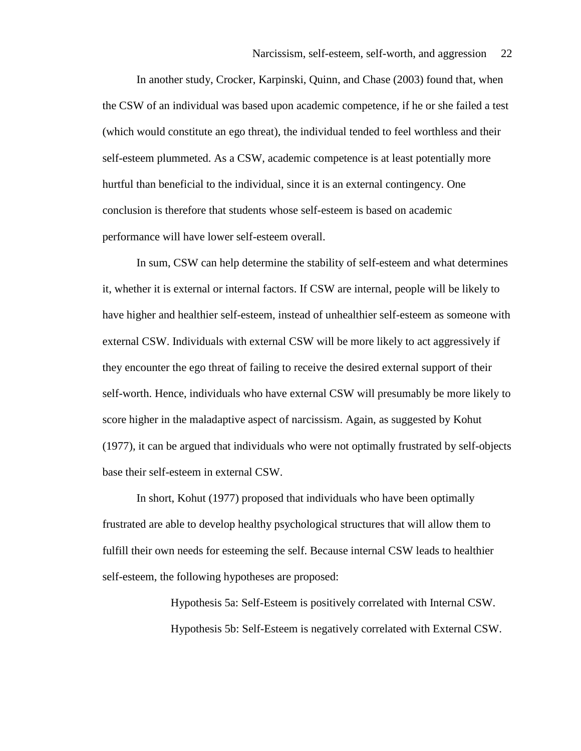In another study, Crocker, Karpinski, Quinn, and Chase (2003) found that, when the CSW of an individual was based upon academic competence, if he or she failed a test (which would constitute an ego threat), the individual tended to feel worthless and their self-esteem plummeted. As a CSW, academic competence is at least potentially more hurtful than beneficial to the individual, since it is an external contingency. One conclusion is therefore that students whose self-esteem is based on academic performance will have lower self-esteem overall.

In sum, CSW can help determine the stability of self-esteem and what determines it, whether it is external or internal factors. If CSW are internal, people will be likely to have higher and healthier self-esteem, instead of unhealthier self-esteem as someone with external CSW. Individuals with external CSW will be more likely to act aggressively if they encounter the ego threat of failing to receive the desired external support of their self-worth. Hence, individuals who have external CSW will presumably be more likely to score higher in the maladaptive aspect of narcissism. Again, as suggested by Kohut (1977), it can be argued that individuals who were not optimally frustrated by self-objects base their self-esteem in external CSW.

In short, Kohut (1977) proposed that individuals who have been optimally frustrated are able to develop healthy psychological structures that will allow them to fulfill their own needs for esteeming the self. Because internal CSW leads to healthier self-esteem, the following hypotheses are proposed:

> Hypothesis 5a: Self-Esteem is positively correlated with Internal CSW. Hypothesis 5b: Self-Esteem is negatively correlated with External CSW.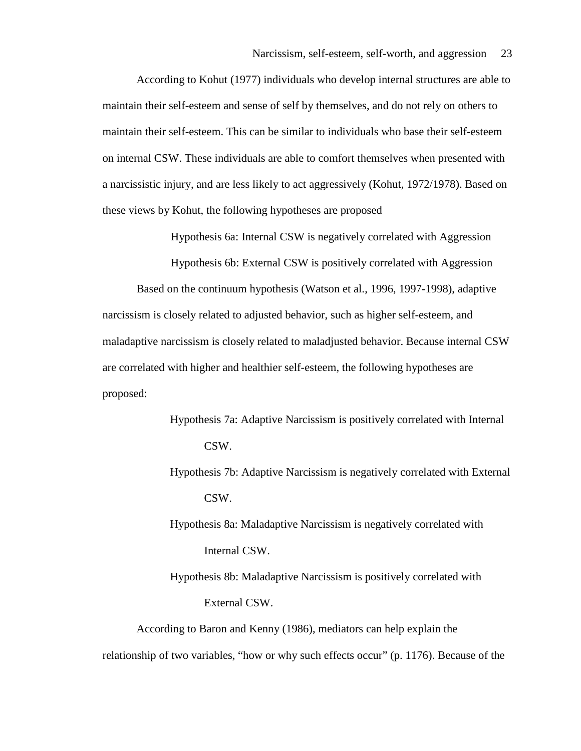According to Kohut (1977) individuals who develop internal structures are able to maintain their self-esteem and sense of self by themselves, and do not rely on others to maintain their self-esteem. This can be similar to individuals who base their self-esteem on internal CSW. These individuals are able to comfort themselves when presented with a narcissistic injury, and are less likely to act aggressively (Kohut, 1972/1978). Based on these views by Kohut, the following hypotheses are proposed

Hypothesis 6a: Internal CSW is negatively correlated with Aggression

Hypothesis 6b: External CSW is positively correlated with Aggression

Based on the continuum hypothesis (Watson et al., 1996, 1997-1998), adaptive narcissism is closely related to adjusted behavior, such as higher self-esteem, and maladaptive narcissism is closely related to maladjusted behavior. Because internal CSW are correlated with higher and healthier self-esteem, the following hypotheses are proposed:

- Hypothesis 7a: Adaptive Narcissism is positively correlated with Internal CSW.
- Hypothesis 7b: Adaptive Narcissism is negatively correlated with External CSW.

Hypothesis 8a: Maladaptive Narcissism is negatively correlated with Internal CSW.

Hypothesis 8b: Maladaptive Narcissism is positively correlated with External CSW.

According to Baron and Kenny (1986), mediators can help explain the relationship of two variables, "how or why such effects occur" (p. 1176). Because of the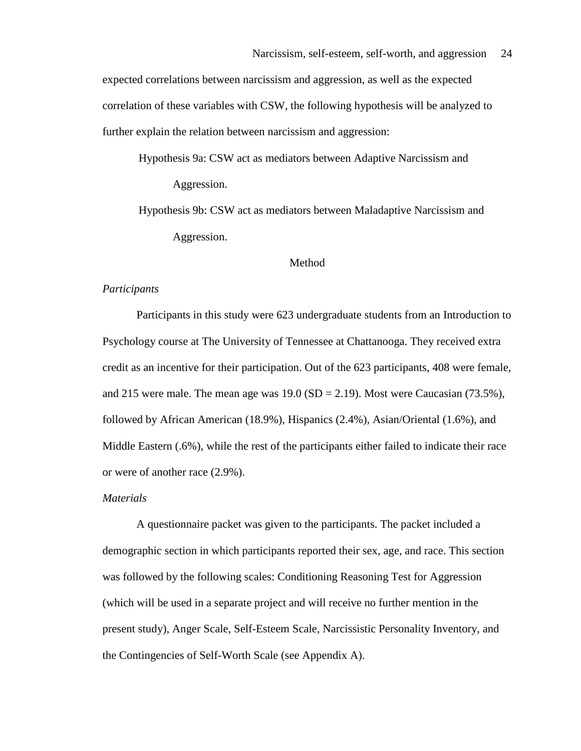expected correlations between narcissism and aggression, as well as the expected correlation of these variables with CSW, the following hypothesis will be analyzed to further explain the relation between narcissism and aggression:

Hypothesis 9a: CSW act as mediators between Adaptive Narcissism and Aggression.

Hypothesis 9b: CSW act as mediators between Maladaptive Narcissism and Aggression.

#### Method

# *Participants*

Participants in this study were 623 undergraduate students from an Introduction to Psychology course at The University of Tennessee at Chattanooga. They received extra credit as an incentive for their participation. Out of the 623 participants, 408 were female, and 215 were male. The mean age was  $19.0$  (SD = 2.19). Most were Caucasian (73.5%), followed by African American (18.9%), Hispanics (2.4%), Asian/Oriental (1.6%), and Middle Eastern (.6%), while the rest of the participants either failed to indicate their race or were of another race (2.9%).

# *Materials*

A questionnaire packet was given to the participants. The packet included a demographic section in which participants reported their sex, age, and race. This section was followed by the following scales: Conditioning Reasoning Test for Aggression (which will be used in a separate project and will receive no further mention in the present study), Anger Scale, Self-Esteem Scale, Narcissistic Personality Inventory, and the Contingencies of Self-Worth Scale (see Appendix A).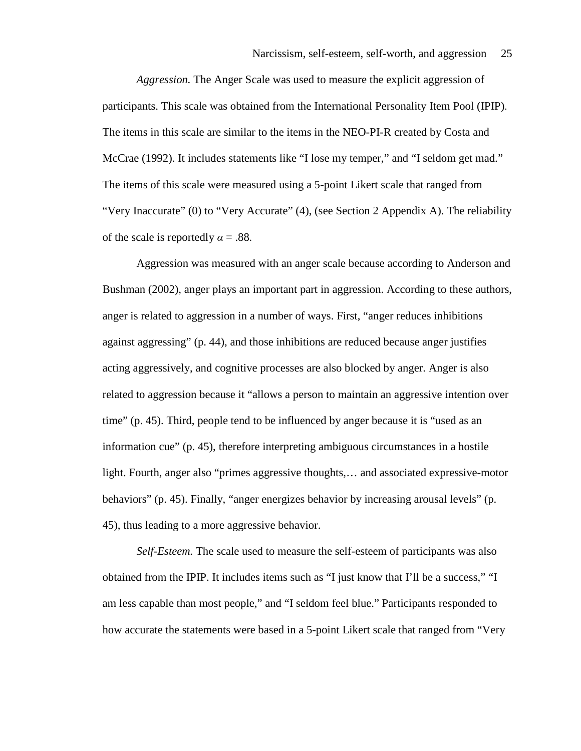*Aggression.* The Anger Scale was used to measure the explicit aggression of participants. This scale was obtained from the International Personality Item Pool (IPIP). The items in this scale are similar to the items in the NEO-PI-R created by Costa and McCrae (1992). It includes statements like "I lose my temper," and "I seldom get mad." The items of this scale were measured using a 5-point Likert scale that ranged from "Very Inaccurate" (0) to "Very Accurate" (4), (see Section 2 Appendix A). The reliability of the scale is reportedly  $\alpha = .88$ .

Aggression was measured with an anger scale because according to Anderson and Bushman (2002), anger plays an important part in aggression. According to these authors, anger is related to aggression in a number of ways. First, "anger reduces inhibitions against aggressing" (p. 44), and those inhibitions are reduced because anger justifies acting aggressively, and cognitive processes are also blocked by anger. Anger is also related to aggression because it "allows a person to maintain an aggressive intention over time" (p. 45). Third, people tend to be influenced by anger because it is "used as an information cue" (p. 45), therefore interpreting ambiguous circumstances in a hostile light. Fourth, anger also "primes aggressive thoughts,… and associated expressive-motor behaviors" (p. 45). Finally, "anger energizes behavior by increasing arousal levels" (p. 45), thus leading to a more aggressive behavior.

*Self-Esteem.* The scale used to measure the self-esteem of participants was also obtained from the IPIP. It includes items such as "I just know that I'll be a success," "I am less capable than most people," and "I seldom feel blue." Participants responded to how accurate the statements were based in a 5-point Likert scale that ranged from "Very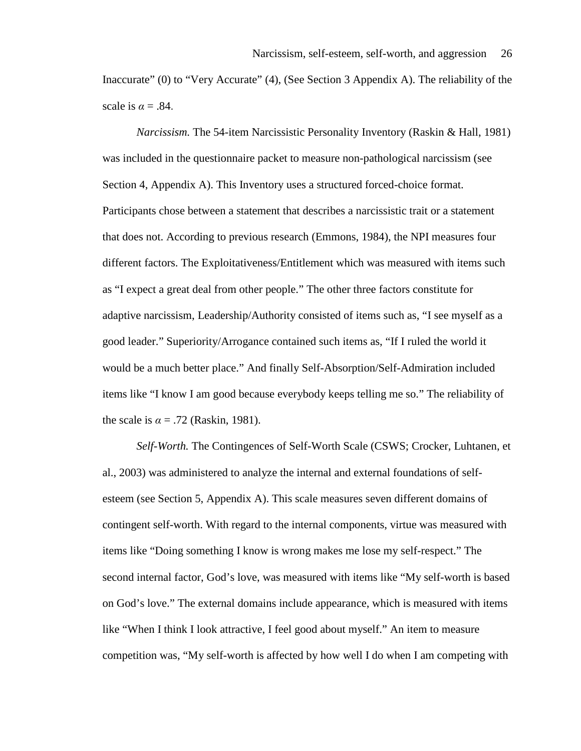Inaccurate" (0) to "Very Accurate" (4), (See Section 3 Appendix A). The reliability of the scale is  $\alpha = .84$ .

*Narcissism.* The 54-item Narcissistic Personality Inventory (Raskin & Hall, 1981) was included in the questionnaire packet to measure non-pathological narcissism (see Section 4, Appendix A). This Inventory uses a structured forced-choice format. Participants chose between a statement that describes a narcissistic trait or a statement that does not. According to previous research (Emmons, 1984), the NPI measures four different factors. The Exploitativeness/Entitlement which was measured with items such as "I expect a great deal from other people." The other three factors constitute for adaptive narcissism, Leadership/Authority consisted of items such as, "I see myself as a good leader." Superiority/Arrogance contained such items as, "If I ruled the world it would be a much better place." And finally Self-Absorption/Self-Admiration included items like "I know I am good because everybody keeps telling me so." The reliability of the scale is  $\alpha = .72$  (Raskin, 1981).

*Self-Worth.* The Contingences of Self-Worth Scale (CSWS; Crocker, Luhtanen, et al., 2003) was administered to analyze the internal and external foundations of selfesteem (see Section 5, Appendix A). This scale measures seven different domains of contingent self-worth. With regard to the internal components, virtue was measured with items like "Doing something I know is wrong makes me lose my self-respect." The second internal factor, God's love, was measured with items like "My self-worth is based on God's love." The external domains include appearance, which is measured with items like "When I think I look attractive, I feel good about myself." An item to measure competition was, "My self-worth is affected by how well I do when I am competing with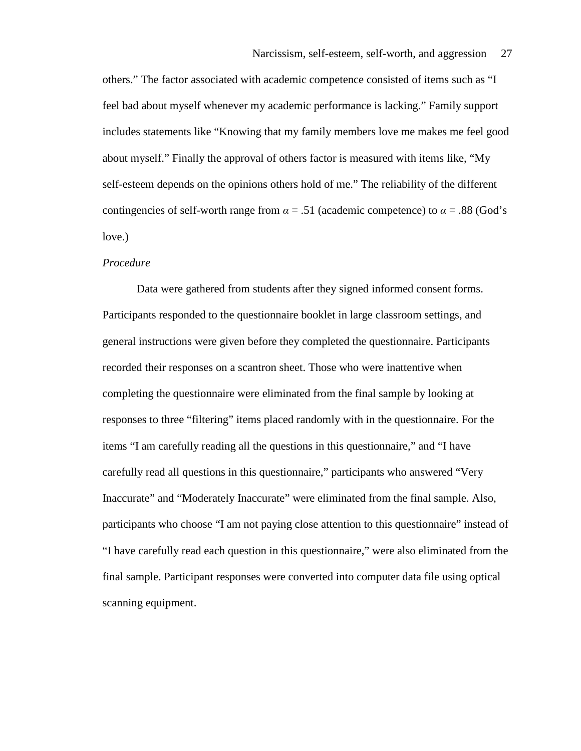others." The factor associated with academic competence consisted of items such as "I feel bad about myself whenever my academic performance is lacking." Family support includes statements like "Knowing that my family members love me makes me feel good about myself." Finally the approval of others factor is measured with items like, "My self-esteem depends on the opinions others hold of me." The reliability of the different contingencies of self-worth range from  $\alpha = .51$  (academic competence) to  $\alpha = .88$  (God's love.)

# *Procedure*

Data were gathered from students after they signed informed consent forms. Participants responded to the questionnaire booklet in large classroom settings, and general instructions were given before they completed the questionnaire. Participants recorded their responses on a scantron sheet. Those who were inattentive when completing the questionnaire were eliminated from the final sample by looking at responses to three "filtering" items placed randomly with in the questionnaire. For the items "I am carefully reading all the questions in this questionnaire," and "I have carefully read all questions in this questionnaire," participants who answered "Very Inaccurate" and "Moderately Inaccurate" were eliminated from the final sample. Also, participants who choose "I am not paying close attention to this questionnaire" instead of "I have carefully read each question in this questionnaire," were also eliminated from the final sample. Participant responses were converted into computer data file using optical scanning equipment.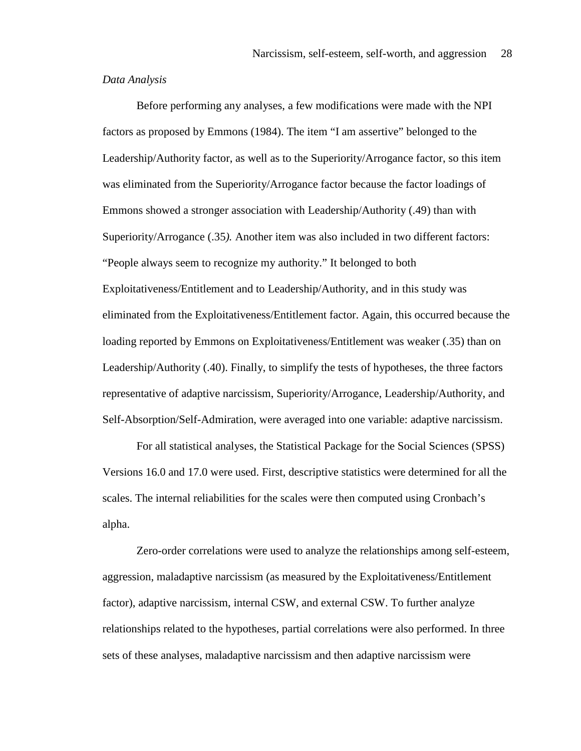## *Data Analysis*

Before performing any analyses, a few modifications were made with the NPI factors as proposed by Emmons (1984). The item "I am assertive" belonged to the Leadership/Authority factor, as well as to the Superiority/Arrogance factor, so this item was eliminated from the Superiority/Arrogance factor because the factor loadings of Emmons showed a stronger association with Leadership/Authority (.49) than with Superiority/Arrogance (.35*).* Another item was also included in two different factors: "People always seem to recognize my authority." It belonged to both Exploitativeness/Entitlement and to Leadership/Authority, and in this study was eliminated from the Exploitativeness/Entitlement factor. Again, this occurred because the loading reported by Emmons on Exploitativeness/Entitlement was weaker (.35) than on Leadership/Authority (.40). Finally, to simplify the tests of hypotheses, the three factors representative of adaptive narcissism, Superiority/Arrogance, Leadership/Authority, and Self-Absorption/Self-Admiration, were averaged into one variable: adaptive narcissism.

For all statistical analyses, the Statistical Package for the Social Sciences (SPSS) Versions 16.0 and 17.0 were used. First, descriptive statistics were determined for all the scales. The internal reliabilities for the scales were then computed using Cronbach's alpha.

Zero-order correlations were used to analyze the relationships among self-esteem, aggression, maladaptive narcissism (as measured by the Exploitativeness/Entitlement factor), adaptive narcissism, internal CSW, and external CSW. To further analyze relationships related to the hypotheses, partial correlations were also performed. In three sets of these analyses, maladaptive narcissism and then adaptive narcissism were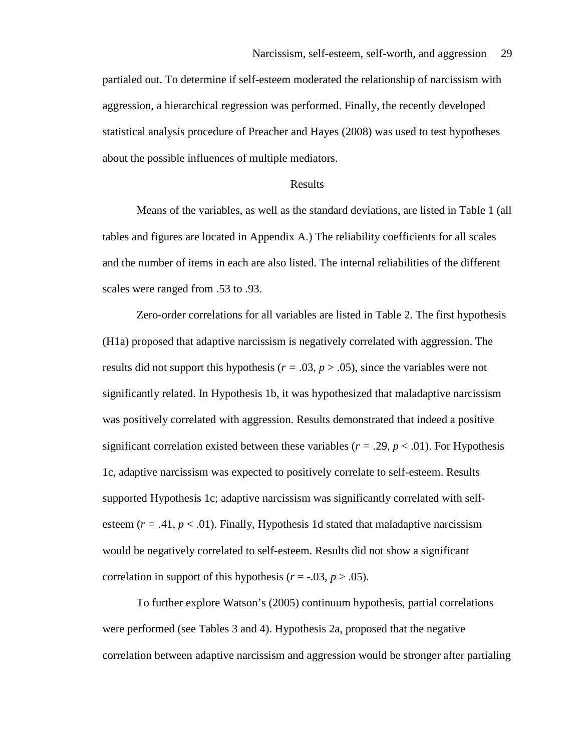partialed out. To determine if self-esteem moderated the relationship of narcissism with aggression, a hierarchical regression was performed. Finally, the recently developed statistical analysis procedure of Preacher and Hayes (2008) was used to test hypotheses about the possible influences of multiple mediators.

#### Results

Means of the variables, as well as the standard deviations, are listed in Table 1 (all tables and figures are located in Appendix A.) The reliability coefficients for all scales and the number of items in each are also listed. The internal reliabilities of the different scales were ranged from .53 to .93.

Zero-order correlations for all variables are listed in Table 2. The first hypothesis (H1a) proposed that adaptive narcissism is negatively correlated with aggression. The results did not support this hypothesis ( $r = .03$ ,  $p > .05$ ), since the variables were not significantly related. In Hypothesis 1b, it was hypothesized that maladaptive narcissism was positively correlated with aggression. Results demonstrated that indeed a positive significant correlation existed between these variables ( $r = .29$ ,  $p < .01$ ). For Hypothesis 1c, adaptive narcissism was expected to positively correlate to self-esteem. Results supported Hypothesis 1c; adaptive narcissism was significantly correlated with selfesteem  $(r = .41, p < .01)$ . Finally, Hypothesis 1d stated that maladaptive narcissism would be negatively correlated to self-esteem. Results did not show a significant correlation in support of this hypothesis  $(r = -0.03, p > 0.05)$ .

To further explore Watson's (2005) continuum hypothesis, partial correlations were performed (see Tables 3 and 4). Hypothesis 2a, proposed that the negative correlation between adaptive narcissism and aggression would be stronger after partialing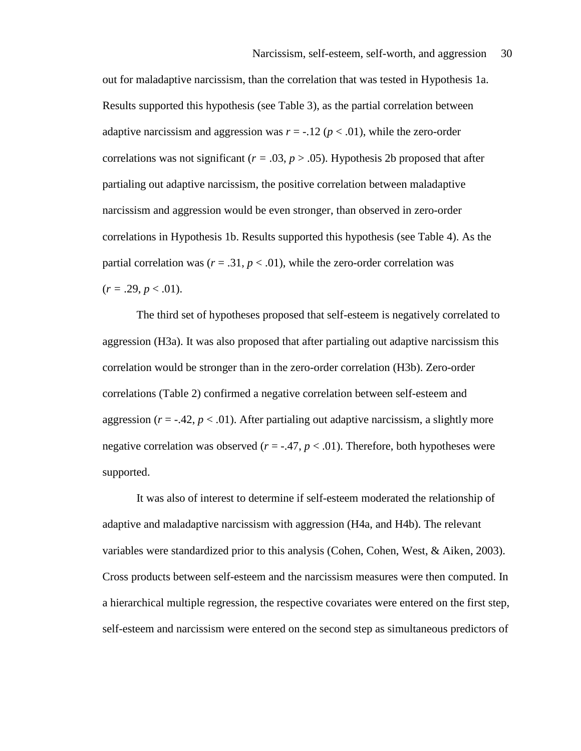out for maladaptive narcissism, than the correlation that was tested in Hypothesis 1a. Results supported this hypothesis (see Table 3), as the partial correlation between adaptive narcissism and aggression was  $r = -.12$  ( $p < .01$ ), while the zero-order correlations was not significant ( $r = .03$ ,  $p > .05$ ). Hypothesis 2b proposed that after partialing out adaptive narcissism, the positive correlation between maladaptive narcissism and aggression would be even stronger, than observed in zero-order correlations in Hypothesis 1b. Results supported this hypothesis (see Table 4). As the partial correlation was ( $r = .31$ ,  $p < .01$ ), while the zero-order correlation was  $(r = .29, p < .01).$ 

The third set of hypotheses proposed that self-esteem is negatively correlated to aggression (H3a). It was also proposed that after partialing out adaptive narcissism this correlation would be stronger than in the zero-order correlation (H3b). Zero-order correlations (Table 2) confirmed a negative correlation between self-esteem and aggression  $(r = -0.42, p < 0.01)$ . After partialing out adaptive narcissism, a slightly more negative correlation was observed  $(r = .47, p < .01)$ . Therefore, both hypotheses were supported.

It was also of interest to determine if self-esteem moderated the relationship of adaptive and maladaptive narcissism with aggression (H4a, and H4b). The relevant variables were standardized prior to this analysis (Cohen, Cohen, West, & Aiken, 2003). Cross products between self-esteem and the narcissism measures were then computed. In a hierarchical multiple regression, the respective covariates were entered on the first step, self-esteem and narcissism were entered on the second step as simultaneous predictors of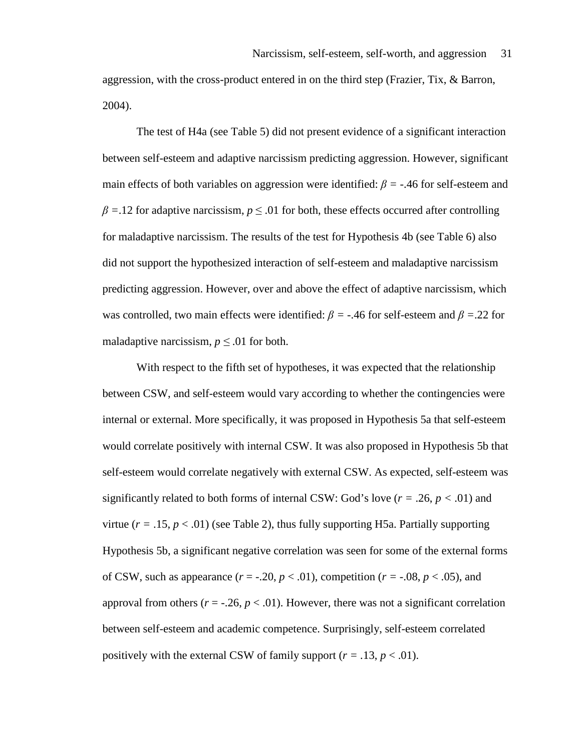aggression, with the cross-product entered in on the third step (Frazier, Tix, & Barron, 2004).

The test of H4a (see Table 5) did not present evidence of a significant interaction between self-esteem and adaptive narcissism predicting aggression. However, significant main effects of both variables on aggression were identified: β *=* -.46 for self-esteem and  $\beta$  =.12 for adaptive narcissism,  $p \le 0.01$  for both, these effects occurred after controlling for maladaptive narcissism. The results of the test for Hypothesis 4b (see Table 6) also did not support the hypothesized interaction of self-esteem and maladaptive narcissism predicting aggression. However, over and above the effect of adaptive narcissism, which was controlled, two main effects were identified: β *=* -.46 for self-esteem and β *=*.22 for maladaptive narcissism,  $p \leq 0.01$  for both.

With respect to the fifth set of hypotheses, it was expected that the relationship between CSW, and self-esteem would vary according to whether the contingencies were internal or external. More specifically, it was proposed in Hypothesis 5a that self-esteem would correlate positively with internal CSW. It was also proposed in Hypothesis 5b that self-esteem would correlate negatively with external CSW. As expected, self-esteem was significantly related to both forms of internal CSW: God's love  $(r = .26, p < .01)$  and virtue  $(r = .15, p < .01)$  (see Table 2), thus fully supporting H5a. Partially supporting Hypothesis 5b, a significant negative correlation was seen for some of the external forms of CSW, such as appearance  $(r = -.20, p < .01)$ , competition  $(r = -.08, p < .05)$ , and approval from others  $(r = -.26, p < .01)$ . However, there was not a significant correlation between self-esteem and academic competence. Surprisingly, self-esteem correlated positively with the external CSW of family support  $(r = .13, p < .01)$ .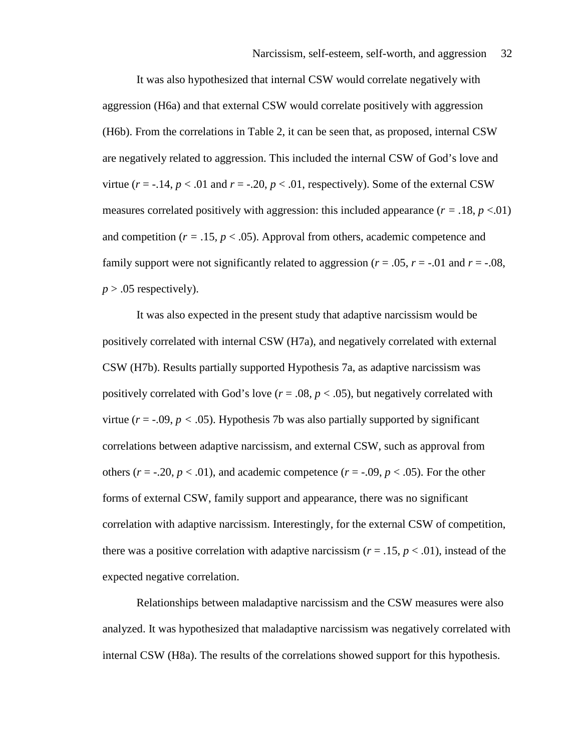It was also hypothesized that internal CSW would correlate negatively with aggression (H6a) and that external CSW would correlate positively with aggression (H6b). From the correlations in Table 2, it can be seen that, as proposed, internal CSW are negatively related to aggression. This included the internal CSW of God's love and virtue ( $r = -14$ ,  $p < 0.01$  and  $r = -120$ ,  $p < 0.01$ , respectively). Some of the external CSW measures correlated positively with aggression: this included appearance  $(r = .18, p < .01)$ and competition ( $r = .15$ ,  $p < .05$ ). Approval from others, academic competence and family support were not significantly related to aggression ( $r = .05$ ,  $r = -.01$  and  $r = .08$ ,  $p > .05$  respectively).

It was also expected in the present study that adaptive narcissism would be positively correlated with internal CSW (H7a), and negatively correlated with external CSW (H7b). Results partially supported Hypothesis 7a, as adaptive narcissism was positively correlated with God's love  $(r = .08, p < .05)$ , but negatively correlated with virtue  $(r = -0.09, p < 0.05)$ . Hypothesis 7b was also partially supported by significant correlations between adaptive narcissism, and external CSW, such as approval from others ( $r = -.20$ ,  $p < .01$ ), and academic competence ( $r = -.09$ ,  $p < .05$ ). For the other forms of external CSW, family support and appearance, there was no significant correlation with adaptive narcissism. Interestingly, for the external CSW of competition, there was a positive correlation with adaptive narcissism  $(r = .15, p < .01)$ , instead of the expected negative correlation.

Relationships between maladaptive narcissism and the CSW measures were also analyzed. It was hypothesized that maladaptive narcissism was negatively correlated with internal CSW (H8a). The results of the correlations showed support for this hypothesis.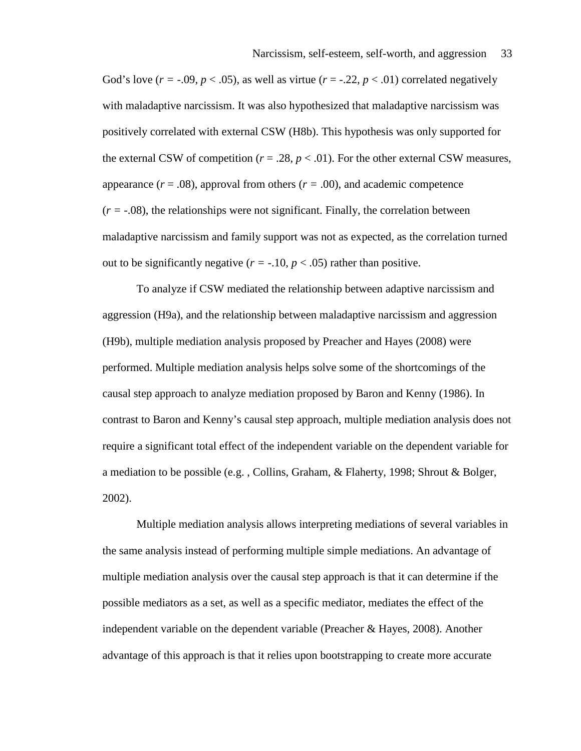God's love  $(r = -0.09, p < 0.05)$ , as well as virtue  $(r = -0.22, p < 0.01)$  correlated negatively with maladaptive narcissism. It was also hypothesized that maladaptive narcissism was positively correlated with external CSW (H8b). This hypothesis was only supported for the external CSW of competition ( $r = .28$ ,  $p < .01$ ). For the other external CSW measures, appearance  $(r = .08)$ , approval from others  $(r = .00)$ , and academic competence  $(r = -0.08)$ , the relationships were not significant. Finally, the correlation between maladaptive narcissism and family support was not as expected, as the correlation turned out to be significantly negative  $(r = -.10, p < .05)$  rather than positive.

To analyze if CSW mediated the relationship between adaptive narcissism and aggression (H9a), and the relationship between maladaptive narcissism and aggression (H9b), multiple mediation analysis proposed by Preacher and Hayes (2008) were performed. Multiple mediation analysis helps solve some of the shortcomings of the causal step approach to analyze mediation proposed by Baron and Kenny (1986). In contrast to Baron and Kenny's causal step approach, multiple mediation analysis does not require a significant total effect of the independent variable on the dependent variable for a mediation to be possible (e.g. , Collins, Graham, & Flaherty, 1998; Shrout & Bolger, 2002).

Multiple mediation analysis allows interpreting mediations of several variables in the same analysis instead of performing multiple simple mediations. An advantage of multiple mediation analysis over the causal step approach is that it can determine if the possible mediators as a set, as well as a specific mediator, mediates the effect of the independent variable on the dependent variable (Preacher & Hayes, 2008). Another advantage of this approach is that it relies upon bootstrapping to create more accurate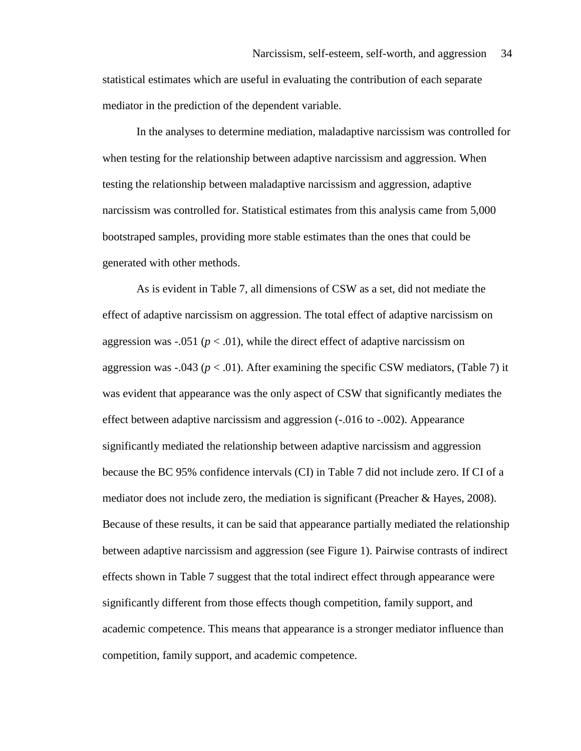statistical estimates which are useful in evaluating the contribution of each separate mediator in the prediction of the dependent variable.

In the analyses to determine mediation, maladaptive narcissism was controlled for when testing for the relationship between adaptive narcissism and aggression. When testing the relationship between maladaptive narcissism and aggression, adaptive narcissism was controlled for. Statistical estimates from this analysis came from 5,000 bootstraped samples, providing more stable estimates than the ones that could be generated with other methods.

As is evident in Table 7, all dimensions of CSW as a set, did not mediate the effect of adaptive narcissism on aggression. The total effect of adaptive narcissism on aggression was  $-.051$  ( $p < .01$ ), while the direct effect of adaptive narcissism on aggression was  $-0.043$  ( $p < .01$ ). After examining the specific CSW mediators, (Table 7) it was evident that appearance was the only aspect of CSW that significantly mediates the effect between adaptive narcissism and aggression (-.016 to -.002). Appearance significantly mediated the relationship between adaptive narcissism and aggression because the BC 95% confidence intervals (CI) in Table 7 did not include zero. If CI of a mediator does not include zero, the mediation is significant (Preacher & Hayes, 2008). Because of these results, it can be said that appearance partially mediated the relationship between adaptive narcissism and aggression (see Figure 1). Pairwise contrasts of indirect effects shown in Table 7 suggest that the total indirect effect through appearance were significantly different from those effects though competition, family support, and academic competence. This means that appearance is a stronger mediator influence than competition, family support, and academic competence.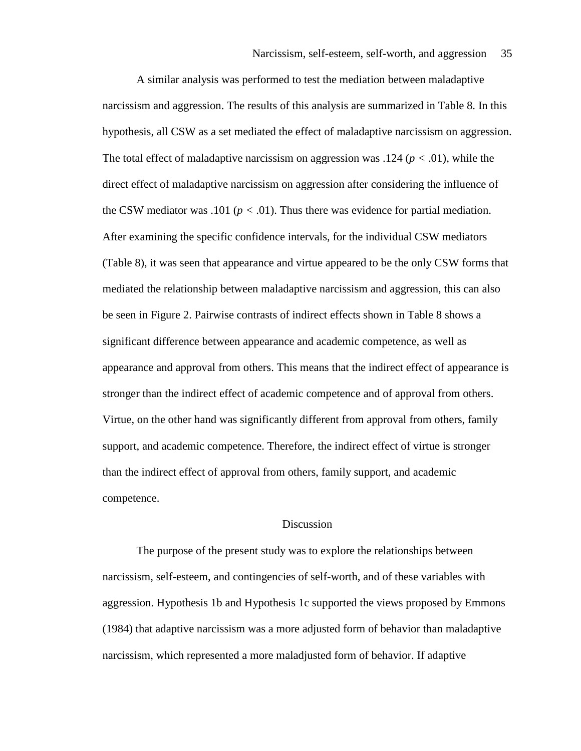A similar analysis was performed to test the mediation between maladaptive narcissism and aggression. The results of this analysis are summarized in Table 8. In this hypothesis, all CSW as a set mediated the effect of maladaptive narcissism on aggression. The total effect of maladaptive narcissism on aggression was .124 (*p <* .01), while the direct effect of maladaptive narcissism on aggression after considering the influence of the CSW mediator was .101 ( $p < .01$ ). Thus there was evidence for partial mediation. After examining the specific confidence intervals, for the individual CSW mediators (Table 8), it was seen that appearance and virtue appeared to be the only CSW forms that mediated the relationship between maladaptive narcissism and aggression, this can also be seen in Figure 2. Pairwise contrasts of indirect effects shown in Table 8 shows a significant difference between appearance and academic competence, as well as appearance and approval from others. This means that the indirect effect of appearance is stronger than the indirect effect of academic competence and of approval from others. Virtue, on the other hand was significantly different from approval from others, family support, and academic competence. Therefore, the indirect effect of virtue is stronger than the indirect effect of approval from others, family support, and academic competence.

#### Discussion

The purpose of the present study was to explore the relationships between narcissism, self-esteem, and contingencies of self-worth, and of these variables with aggression. Hypothesis 1b and Hypothesis 1c supported the views proposed by Emmons (1984) that adaptive narcissism was a more adjusted form of behavior than maladaptive narcissism, which represented a more maladjusted form of behavior. If adaptive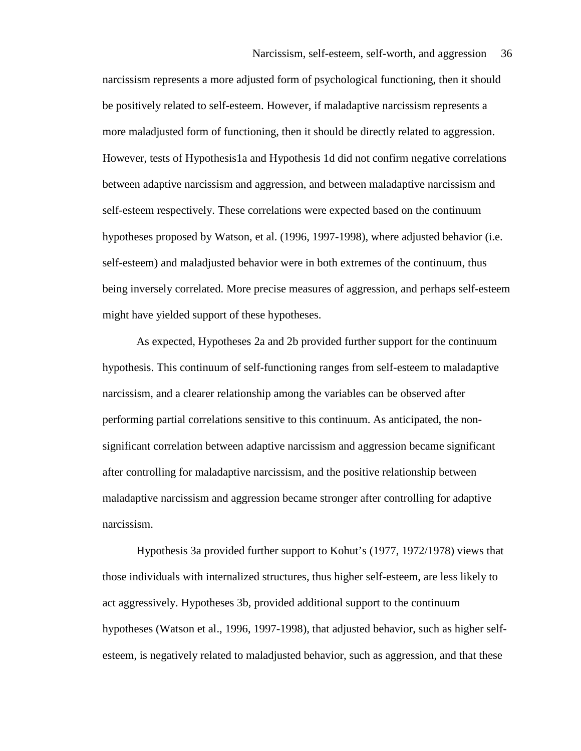narcissism represents a more adjusted form of psychological functioning, then it should be positively related to self-esteem. However, if maladaptive narcissism represents a more maladjusted form of functioning, then it should be directly related to aggression. However, tests of Hypothesis1a and Hypothesis 1d did not confirm negative correlations between adaptive narcissism and aggression, and between maladaptive narcissism and self-esteem respectively. These correlations were expected based on the continuum hypotheses proposed by Watson, et al. (1996, 1997-1998), where adjusted behavior (i.e. self-esteem) and maladjusted behavior were in both extremes of the continuum, thus being inversely correlated. More precise measures of aggression, and perhaps self-esteem might have yielded support of these hypotheses.

As expected, Hypotheses 2a and 2b provided further support for the continuum hypothesis. This continuum of self-functioning ranges from self-esteem to maladaptive narcissism, and a clearer relationship among the variables can be observed after performing partial correlations sensitive to this continuum. As anticipated, the nonsignificant correlation between adaptive narcissism and aggression became significant after controlling for maladaptive narcissism, and the positive relationship between maladaptive narcissism and aggression became stronger after controlling for adaptive narcissism.

Hypothesis 3a provided further support to Kohut's (1977, 1972/1978) views that those individuals with internalized structures, thus higher self-esteem, are less likely to act aggressively. Hypotheses 3b, provided additional support to the continuum hypotheses (Watson et al., 1996, 1997-1998), that adjusted behavior, such as higher selfesteem, is negatively related to maladjusted behavior, such as aggression, and that these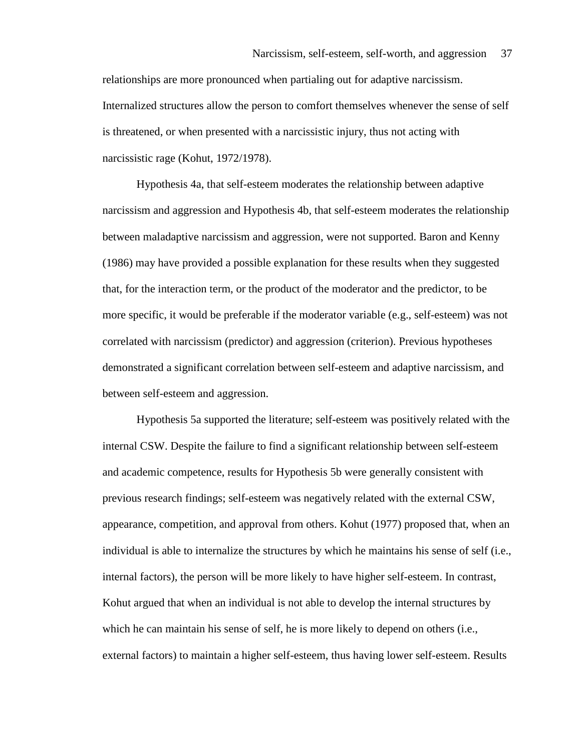relationships are more pronounced when partialing out for adaptive narcissism. Internalized structures allow the person to comfort themselves whenever the sense of self is threatened, or when presented with a narcissistic injury, thus not acting with narcissistic rage (Kohut, 1972/1978).

Hypothesis 4a, that self-esteem moderates the relationship between adaptive narcissism and aggression and Hypothesis 4b, that self-esteem moderates the relationship between maladaptive narcissism and aggression, were not supported. Baron and Kenny (1986) may have provided a possible explanation for these results when they suggested that, for the interaction term, or the product of the moderator and the predictor, to be more specific, it would be preferable if the moderator variable (e.g., self-esteem) was not correlated with narcissism (predictor) and aggression (criterion). Previous hypotheses demonstrated a significant correlation between self-esteem and adaptive narcissism, and between self-esteem and aggression.

Hypothesis 5a supported the literature; self-esteem was positively related with the internal CSW. Despite the failure to find a significant relationship between self-esteem and academic competence, results for Hypothesis 5b were generally consistent with previous research findings; self-esteem was negatively related with the external CSW, appearance, competition, and approval from others. Kohut (1977) proposed that, when an individual is able to internalize the structures by which he maintains his sense of self (i.e., internal factors), the person will be more likely to have higher self-esteem. In contrast, Kohut argued that when an individual is not able to develop the internal structures by which he can maintain his sense of self, he is more likely to depend on others (i.e., external factors) to maintain a higher self-esteem, thus having lower self-esteem. Results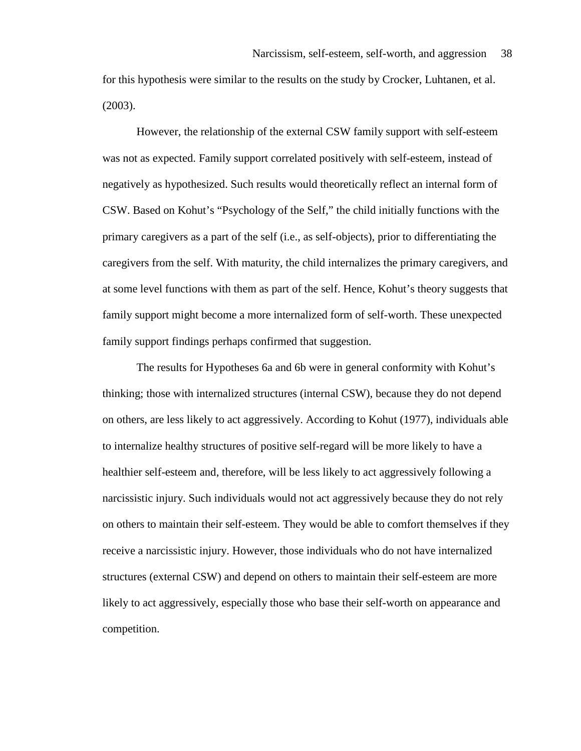for this hypothesis were similar to the results on the study by Crocker, Luhtanen, et al. (2003).

However, the relationship of the external CSW family support with self-esteem was not as expected. Family support correlated positively with self-esteem, instead of negatively as hypothesized. Such results would theoretically reflect an internal form of CSW. Based on Kohut's "Psychology of the Self," the child initially functions with the primary caregivers as a part of the self (i.e., as self-objects), prior to differentiating the caregivers from the self. With maturity, the child internalizes the primary caregivers, and at some level functions with them as part of the self. Hence, Kohut's theory suggests that family support might become a more internalized form of self-worth. These unexpected family support findings perhaps confirmed that suggestion.

The results for Hypotheses 6a and 6b were in general conformity with Kohut's thinking; those with internalized structures (internal CSW), because they do not depend on others, are less likely to act aggressively. According to Kohut (1977), individuals able to internalize healthy structures of positive self-regard will be more likely to have a healthier self-esteem and, therefore, will be less likely to act aggressively following a narcissistic injury. Such individuals would not act aggressively because they do not rely on others to maintain their self-esteem. They would be able to comfort themselves if they receive a narcissistic injury. However, those individuals who do not have internalized structures (external CSW) and depend on others to maintain their self-esteem are more likely to act aggressively, especially those who base their self-worth on appearance and competition.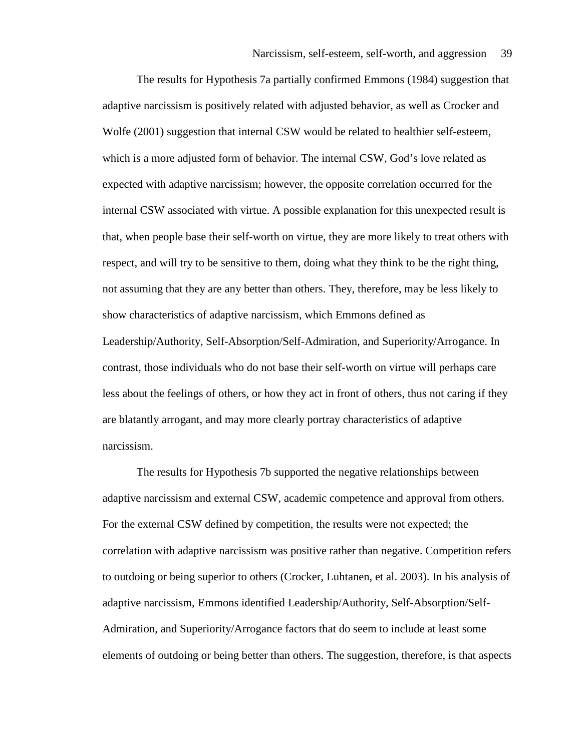The results for Hypothesis 7a partially confirmed Emmons (1984) suggestion that adaptive narcissism is positively related with adjusted behavior, as well as Crocker and Wolfe (2001) suggestion that internal CSW would be related to healthier self-esteem, which is a more adjusted form of behavior. The internal CSW, God's love related as expected with adaptive narcissism; however, the opposite correlation occurred for the internal CSW associated with virtue. A possible explanation for this unexpected result is that, when people base their self-worth on virtue, they are more likely to treat others with respect, and will try to be sensitive to them, doing what they think to be the right thing, not assuming that they are any better than others. They, therefore, may be less likely to show characteristics of adaptive narcissism, which Emmons defined as Leadership/Authority, Self-Absorption/Self-Admiration, and Superiority/Arrogance. In contrast, those individuals who do not base their self-worth on virtue will perhaps care less about the feelings of others, or how they act in front of others, thus not caring if they are blatantly arrogant, and may more clearly portray characteristics of adaptive narcissism.

The results for Hypothesis 7b supported the negative relationships between adaptive narcissism and external CSW, academic competence and approval from others. For the external CSW defined by competition, the results were not expected; the correlation with adaptive narcissism was positive rather than negative. Competition refers to outdoing or being superior to others (Crocker, Luhtanen, et al. 2003). In his analysis of adaptive narcissism, Emmons identified Leadership/Authority, Self-Absorption/Self-Admiration, and Superiority/Arrogance factors that do seem to include at least some elements of outdoing or being better than others. The suggestion, therefore, is that aspects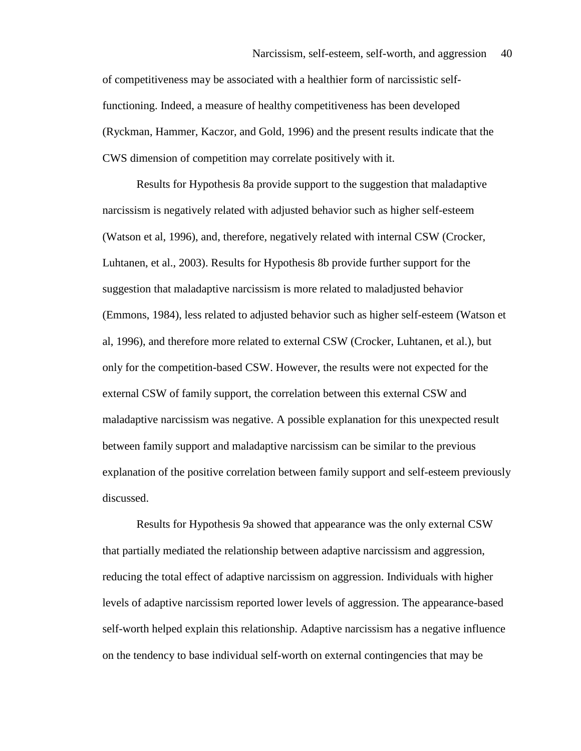of competitiveness may be associated with a healthier form of narcissistic selffunctioning. Indeed, a measure of healthy competitiveness has been developed (Ryckman, Hammer, Kaczor, and Gold, 1996) and the present results indicate that the CWS dimension of competition may correlate positively with it.

Results for Hypothesis 8a provide support to the suggestion that maladaptive narcissism is negatively related with adjusted behavior such as higher self-esteem (Watson et al, 1996), and, therefore, negatively related with internal CSW (Crocker, Luhtanen, et al., 2003). Results for Hypothesis 8b provide further support for the suggestion that maladaptive narcissism is more related to maladjusted behavior (Emmons, 1984), less related to adjusted behavior such as higher self-esteem (Watson et al, 1996), and therefore more related to external CSW (Crocker, Luhtanen, et al.), but only for the competition-based CSW. However, the results were not expected for the external CSW of family support, the correlation between this external CSW and maladaptive narcissism was negative. A possible explanation for this unexpected result between family support and maladaptive narcissism can be similar to the previous explanation of the positive correlation between family support and self-esteem previously discussed.

Results for Hypothesis 9a showed that appearance was the only external CSW that partially mediated the relationship between adaptive narcissism and aggression, reducing the total effect of adaptive narcissism on aggression. Individuals with higher levels of adaptive narcissism reported lower levels of aggression. The appearance-based self-worth helped explain this relationship. Adaptive narcissism has a negative influence on the tendency to base individual self-worth on external contingencies that may be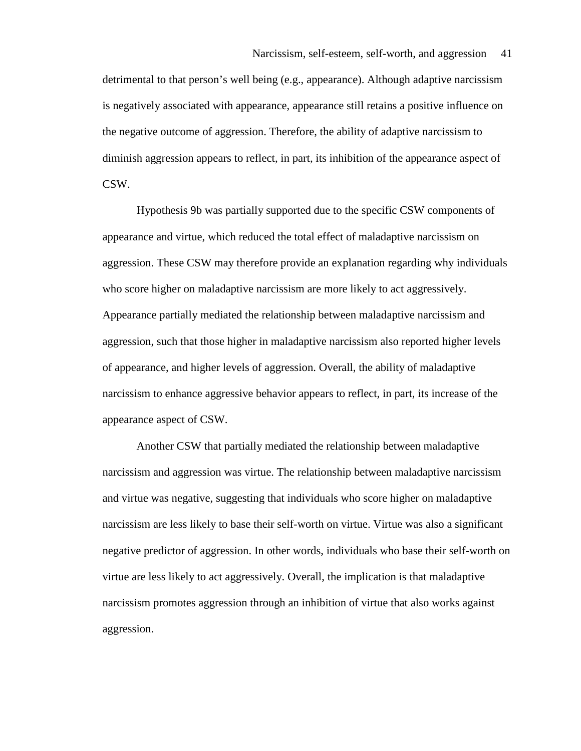detrimental to that person's well being (e.g., appearance). Although adaptive narcissism is negatively associated with appearance, appearance still retains a positive influence on the negative outcome of aggression. Therefore, the ability of adaptive narcissism to diminish aggression appears to reflect, in part, its inhibition of the appearance aspect of CSW.

Hypothesis 9b was partially supported due to the specific CSW components of appearance and virtue, which reduced the total effect of maladaptive narcissism on aggression. These CSW may therefore provide an explanation regarding why individuals who score higher on maladaptive narcissism are more likely to act aggressively. Appearance partially mediated the relationship between maladaptive narcissism and aggression, such that those higher in maladaptive narcissism also reported higher levels of appearance, and higher levels of aggression. Overall, the ability of maladaptive narcissism to enhance aggressive behavior appears to reflect, in part, its increase of the appearance aspect of CSW.

Another CSW that partially mediated the relationship between maladaptive narcissism and aggression was virtue. The relationship between maladaptive narcissism and virtue was negative, suggesting that individuals who score higher on maladaptive narcissism are less likely to base their self-worth on virtue. Virtue was also a significant negative predictor of aggression. In other words, individuals who base their self-worth on virtue are less likely to act aggressively. Overall, the implication is that maladaptive narcissism promotes aggression through an inhibition of virtue that also works against aggression.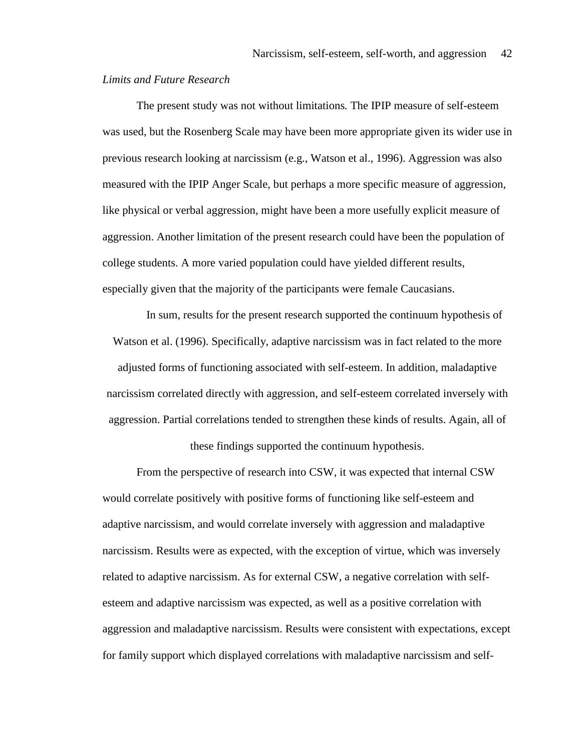## *Limits and Future Research*

The present study was not without limitations*.* The IPIP measure of self-esteem was used, but the Rosenberg Scale may have been more appropriate given its wider use in previous research looking at narcissism (e.g., Watson et al., 1996). Aggression was also measured with the IPIP Anger Scale, but perhaps a more specific measure of aggression, like physical or verbal aggression, might have been a more usefully explicit measure of aggression. Another limitation of the present research could have been the population of college students. A more varied population could have yielded different results, especially given that the majority of the participants were female Caucasians.

In sum, results for the present research supported the continuum hypothesis of Watson et al. (1996). Specifically, adaptive narcissism was in fact related to the more adjusted forms of functioning associated with self-esteem. In addition, maladaptive narcissism correlated directly with aggression, and self-esteem correlated inversely with aggression. Partial correlations tended to strengthen these kinds of results. Again, all of these findings supported the continuum hypothesis.

From the perspective of research into CSW, it was expected that internal CSW would correlate positively with positive forms of functioning like self-esteem and adaptive narcissism, and would correlate inversely with aggression and maladaptive narcissism. Results were as expected, with the exception of virtue, which was inversely related to adaptive narcissism. As for external CSW, a negative correlation with selfesteem and adaptive narcissism was expected, as well as a positive correlation with aggression and maladaptive narcissism. Results were consistent with expectations, except for family support which displayed correlations with maladaptive narcissism and self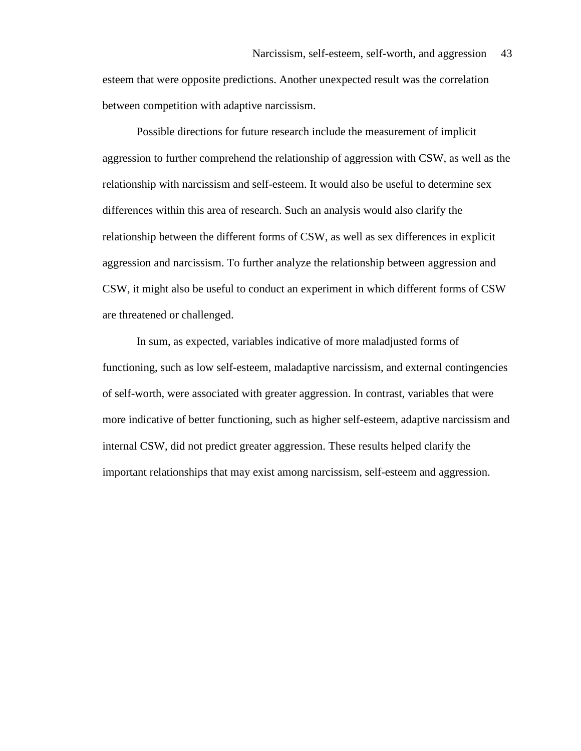esteem that were opposite predictions. Another unexpected result was the correlation between competition with adaptive narcissism.

Possible directions for future research include the measurement of implicit aggression to further comprehend the relationship of aggression with CSW, as well as the relationship with narcissism and self-esteem. It would also be useful to determine sex differences within this area of research. Such an analysis would also clarify the relationship between the different forms of CSW, as well as sex differences in explicit aggression and narcissism. To further analyze the relationship between aggression and CSW, it might also be useful to conduct an experiment in which different forms of CSW are threatened or challenged.

In sum, as expected, variables indicative of more maladjusted forms of functioning, such as low self-esteem, maladaptive narcissism, and external contingencies of self-worth, were associated with greater aggression. In contrast, variables that were more indicative of better functioning, such as higher self-esteem, adaptive narcissism and internal CSW, did not predict greater aggression. These results helped clarify the important relationships that may exist among narcissism, self-esteem and aggression.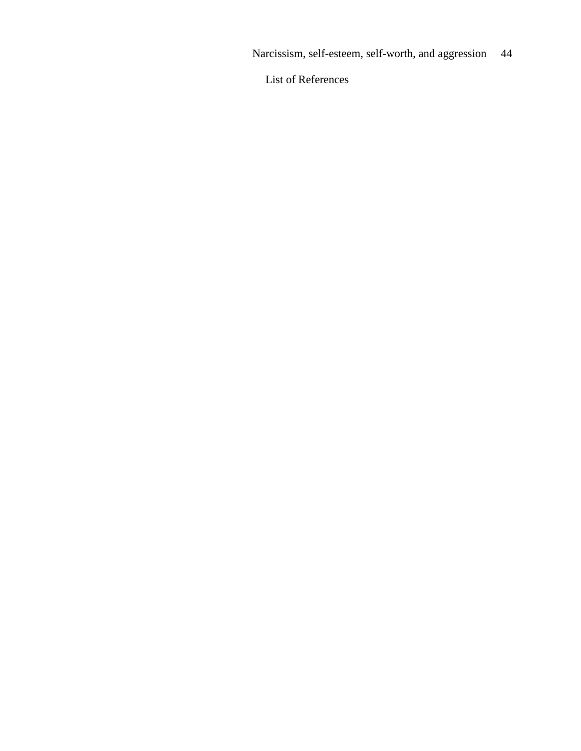Narcissism, self-esteem, self-worth, and aggression 44

List of References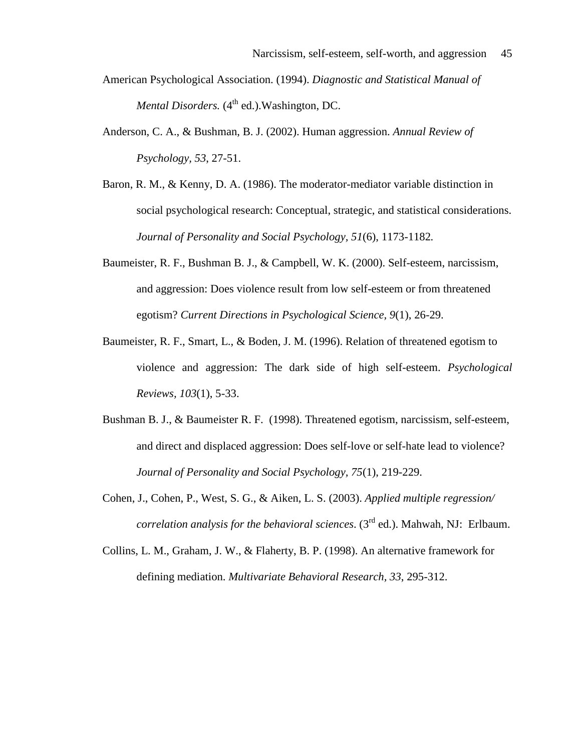- American Psychological Association. (1994). *Diagnostic and Statistical Manual of Mental Disorders.* (4<sup>th</sup> ed.). Washington, DC.
- Anderson, C. A., & Bushman, B. J. (2002). Human aggression. *Annual Review of Psychology, 53*, 27-51.
- Baron, R. M., & Kenny, D. A. (1986). The moderator-mediator variable distinction in social psychological research: Conceptual, strategic, and statistical considerations. *Journal of Personality and Social Psychology, 51*(6), 1173-1182*.*
- Baumeister, R. F., Bushman B. J., & Campbell, W. K. (2000). Self-esteem, narcissism, and aggression: Does violence result from low self-esteem or from threatened egotism? *Current Directions in Psychological Science, 9*(1), 26-29.
- Baumeister, R. F., Smart, L., & Boden, J. M. (1996). Relation of threatened egotism to violence and aggression: The dark side of high self-esteem. *Psychological Reviews, 103*(1), 5-33.
- Bushman B. J., & Baumeister R. F. (1998). Threatened egotism, narcissism, self-esteem, and direct and displaced aggression: Does self-love or self-hate lead to violence? *Journal of Personality and Social Psychology, 75*(1), 219-229.
- Cohen, J., Cohen, P., West, S. G., & Aiken, L. S. (2003). *Applied multiple regression/ correlation analysis for the behavioral sciences*. (3rd ed.). Mahwah, NJ: Erlbaum.
- Collins, L. M., Graham, J. W., & Flaherty, B. P. (1998). An alternative framework for defining mediation. *Multivariate Behavioral Research, 33*, 295-312.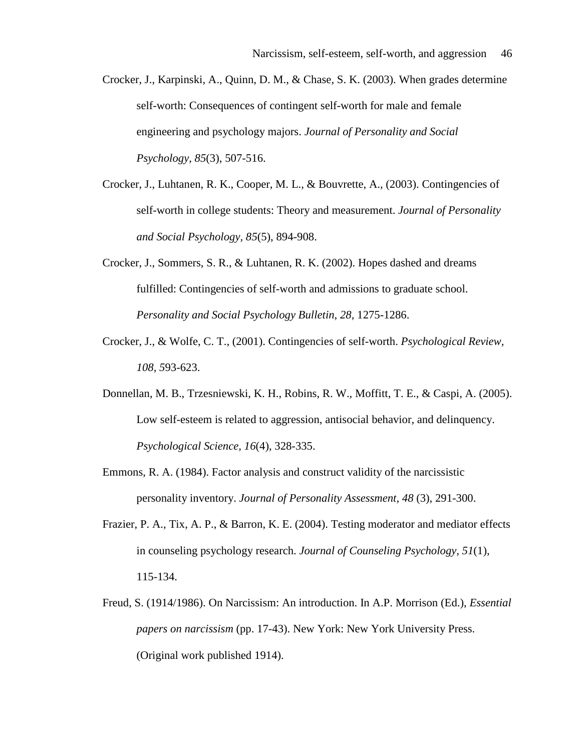- Crocker, J., Karpinski, A., Quinn, D. M., & Chase, S. K. (2003). When grades determine self-worth: Consequences of contingent self-worth for male and female engineering and psychology majors. *Journal of Personality and Social Psychology, 85*(3), 507-516.
- Crocker, J., Luhtanen, R. K., Cooper, M. L., & Bouvrette, A., (2003). Contingencies of self-worth in college students: Theory and measurement. *Journal of Personality and Social Psychology, 85*(5), 894-908.
- Crocker, J., Sommers, S. R., & Luhtanen, R. K. (2002). Hopes dashed and dreams fulfilled: Contingencies of self-worth and admissions to graduate school. *Personality and Social Psychology Bulletin, 28,* 1275-1286.
- Crocker, J., & Wolfe, C. T., (2001). Contingencies of self-worth. *Psychological Review, 108, 5*93-623.
- Donnellan, M. B., Trzesniewski, K. H., Robins, R. W., Moffitt, T. E., & Caspi, A. (2005). Low self-esteem is related to aggression, antisocial behavior, and delinquency. *Psychological Science, 16*(4), 328-335.
- Emmons, R. A. (1984). Factor analysis and construct validity of the narcissistic personality inventory. *Journal of Personality Assessment, 48* (3), 291-300.
- Frazier, P. A., Tix, A. P., & Barron, K. E. (2004). Testing moderator and mediator effects in counseling psychology research. *Journal of Counseling Psychology, 51*(1), 115-134.
- Freud, S. (1914/1986). On Narcissism: An introduction. In A.P. Morrison (Ed.), *Essential papers on narcissism* (pp. 17-43). New York: New York University Press. (Original work published 1914).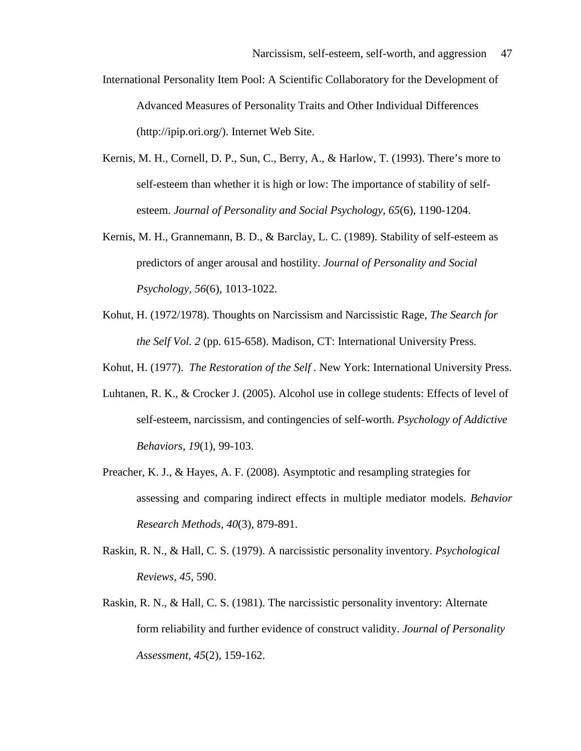- International Personality Item Pool: A Scientific Collaboratory for the Development of Advanced Measures of Personality Traits and Other Individual Differences (http://ipip.ori.org/). Internet Web Site.
- Kernis, M. H., Cornell, D. P., Sun, C., Berry, A., & Harlow, T. (1993). There's more to self-esteem than whether it is high or low: The importance of stability of selfesteem. *Journal of Personality and Social Psychology, 65*(6), 1190-1204.
- Kernis, M. H., Grannemann, B. D., & Barclay, L. C. (1989). Stability of self-esteem as predictors of anger arousal and hostility. *Journal of Personality and Social Psychology, 56*(6), 1013-1022.
- Kohut, H. (1972/1978). Thoughts on Narcissism and Narcissistic Rage, *The Search for the Self Vol. 2* (pp. 615-658). Madison, CT: International University Press.
- Kohut, H. (1977). *The Restoration of the Self .* New York: International University Press.
- Luhtanen, R. K., & Crocker J. (2005). Alcohol use in college students: Effects of level of self-esteem, narcissism, and contingencies of self-worth. *Psychology of Addictive Behaviors, 19*(1), 99-103.
- Preacher, K. J., & Hayes, A. F. (2008). Asymptotic and resampling strategies for assessing and comparing indirect effects in multiple mediator models. *Behavior Research Methods, 40*(3), 879-891.
- Raskin, R. N., & Hall, C. S. (1979). A narcissistic personality inventory. *Psychological Reviews, 45*, 590.
- Raskin, R. N., & Hall, C. S. (1981). The narcissistic personality inventory: Alternate form reliability and further evidence of construct validity. *Journal of Personality Assessment, 45*(2), 159-162.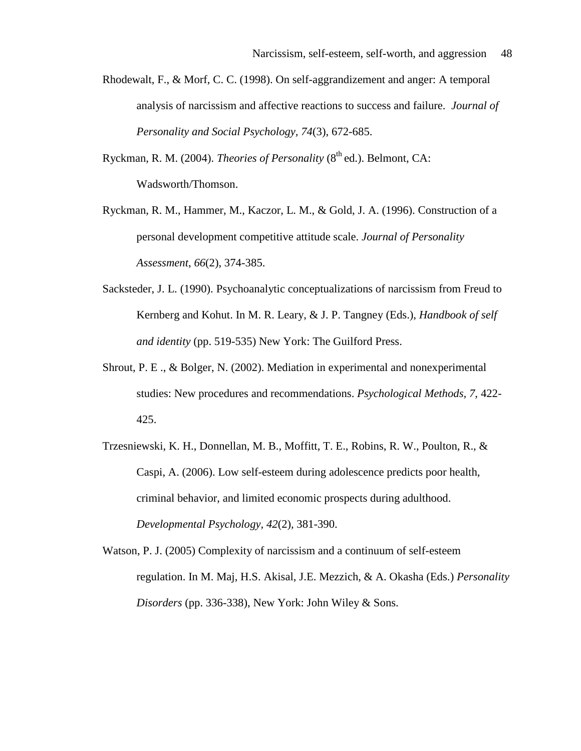- Rhodewalt, F., & Morf, C. C. (1998). On self-aggrandizement and anger: A temporal analysis of narcissism and affective reactions to success and failure. *Journal of Personality and Social Psychology, 74*(3), 672-685.
- Ryckman, R. M. (2004). *Theories of Personality* (8<sup>th</sup> ed.). Belmont, CA: Wadsworth/Thomson.
- Ryckman, R. M., Hammer, M., Kaczor, L. M., & Gold, J. A. (1996). Construction of a personal development competitive attitude scale. *Journal of Personality Assessment*, *66*(2), 374-385.
- Sacksteder, J. L. (1990). Psychoanalytic conceptualizations of narcissism from Freud to Kernberg and Kohut. In M. R. Leary, & J. P. Tangney (Eds.), *Handbook of self and identity* (pp. 519-535) New York: The Guilford Press.
- Shrout, P. E ., & Bolger, N. (2002). Mediation in experimental and nonexperimental studies: New procedures and recommendations. *Psychological Methods, 7*, 422- 425.
- Trzesniewski, K. H., Donnellan, M. B., Moffitt, T. E., Robins, R. W., Poulton, R., & Caspi, A. (2006). Low self-esteem during adolescence predicts poor health, criminal behavior, and limited economic prospects during adulthood. *Developmental Psychology, 42*(2)*,* 381-390.
- Watson, P. J. (2005) Complexity of narcissism and a continuum of self-esteem regulation. In M. Maj, H.S. Akisal, J.E. Mezzich, & A. Okasha (Eds.) *Personality Disorders* (pp. 336-338), New York: John Wiley & Sons.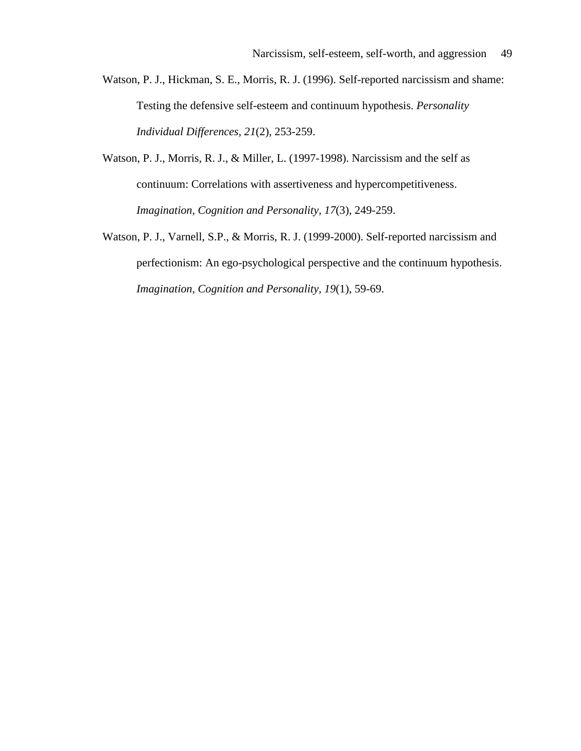- Watson, P. J., Hickman, S. E., Morris, R. J. (1996). Self-reported narcissism and shame: Testing the defensive self-esteem and continuum hypothesis. *Personality Individual Differences, 21*(2), 253-259.
- Watson, P. J., Morris, R. J., & Miller, L. (1997-1998). Narcissism and the self as continuum: Correlations with assertiveness and hypercompetitiveness. *Imagination, Cognition and Personality, 17*(3), 249-259.
- Watson, P. J., Varnell, S.P., & Morris, R. J. (1999-2000). Self-reported narcissism and perfectionism: An ego-psychological perspective and the continuum hypothesis. *Imagination, Cognition and Personality, 19*(1), 59-69.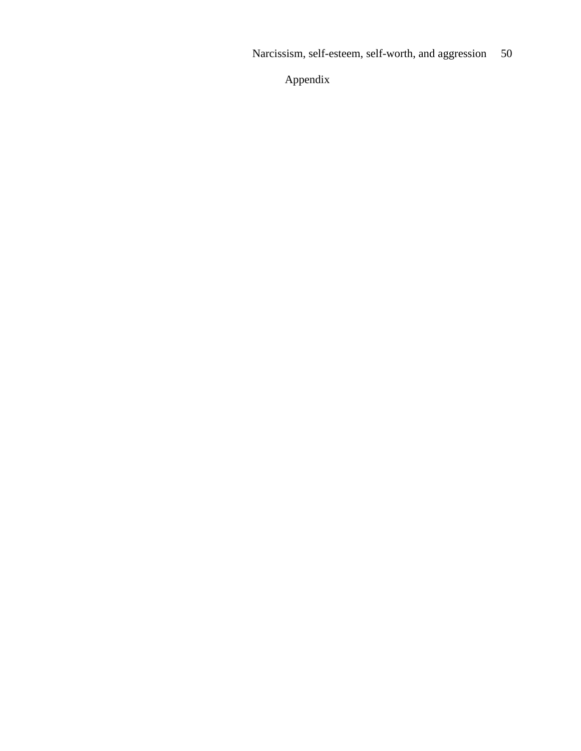Narcissism, self-esteem, self-worth, and aggression 50

Appendix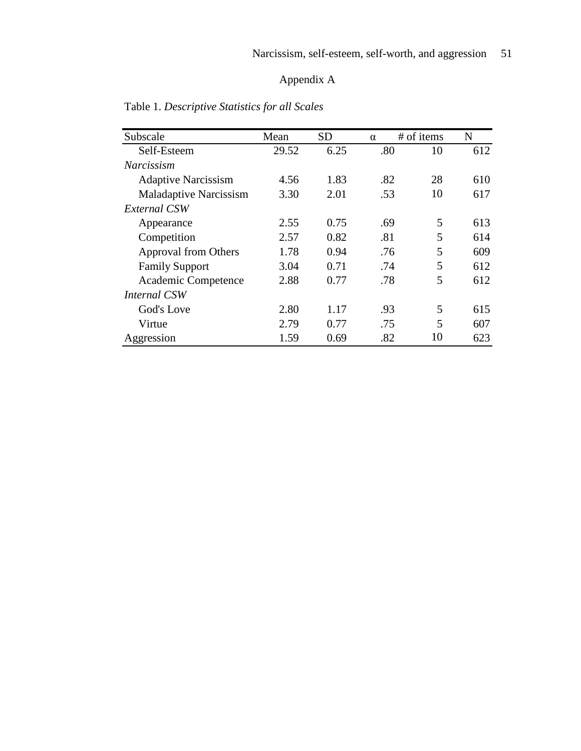# Appendix A

| Subscale                      | Mean  | <b>SD</b> | $\alpha$ | # of items | N   |
|-------------------------------|-------|-----------|----------|------------|-----|
| Self-Esteem                   | 29.52 | 6.25      | .80      | 10         | 612 |
| <i>Narcissism</i>             |       |           |          |            |     |
| <b>Adaptive Narcissism</b>    | 4.56  | 1.83      | .82      | 28         | 610 |
| <b>Maladaptive Narcissism</b> | 3.30  | 2.01      | .53      | 10         | 617 |
| <b>External CSW</b>           |       |           |          |            |     |
| Appearance                    | 2.55  | 0.75      | .69      | 5          | 613 |
| Competition                   | 2.57  | 0.82      | .81      | 5          | 614 |
| Approval from Others          | 1.78  | 0.94      | .76      | 5          | 609 |
| <b>Family Support</b>         | 3.04  | 0.71      | .74      | 5          | 612 |
| Academic Competence           | 2.88  | 0.77      | .78      | 5          | 612 |
| <b>Internal CSW</b>           |       |           |          |            |     |
| God's Love                    | 2.80  | 1.17      | .93      | 5          | 615 |
| Virtue                        | 2.79  | 0.77      | .75      | 5          | 607 |
| Aggression                    | 1.59  | 0.69      | .82      | 10         | 623 |

Table 1. *Descriptive Statistics for all Scales*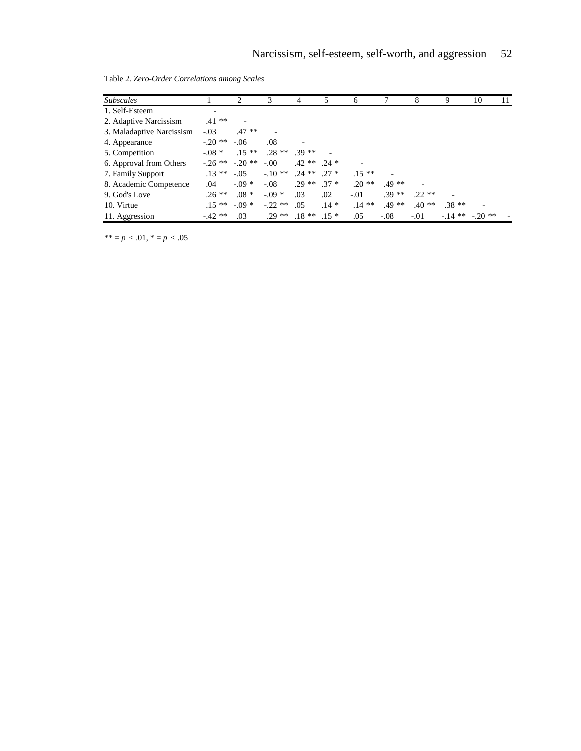| <b>Subscales</b>          |          | 2                        | 3                         | 4                 | 5      | 6       |         | 8       | 9        | 10        | 11 |
|---------------------------|----------|--------------------------|---------------------------|-------------------|--------|---------|---------|---------|----------|-----------|----|
| 1. Self-Esteem            | -        |                          |                           |                   |        |         |         |         |          |           |    |
| 2. Adaptive Narcissism    | $.41***$ | $\overline{\phantom{a}}$ |                           |                   |        |         |         |         |          |           |    |
| 3. Maladaptive Narcissism | $-.03$   | $.47**$                  |                           |                   |        |         |         |         |          |           |    |
| 4. Appearance             | $-.20**$ | $-.06$                   | .08                       |                   |        |         |         |         |          |           |    |
| 5. Competition            | $-.08$ * | $.15**$                  |                           | $.28** .39**$     |        |         |         |         |          |           |    |
| 6. Approval from Others   |          | $-.26$ ** $-.20$ **      | $-.00$                    | $.42**$ .24 *     |        |         |         |         |          |           |    |
| 7. Family Support         | $.13***$ | $-.05$                   | $-10$ ** $.24$ ** $.27$ * |                   |        | $.15**$ |         |         |          |           |    |
| 8. Academic Competence    | .04      | $-.09*$                  | $-.08$                    | $.29**$           | $.37*$ | $.20**$ | $.49**$ |         |          |           |    |
| 9. God's Love             | $.26***$ | $.08*$                   | $-0.09*$                  | .03               | .02    | $-.01$  | $.39**$ | $22**$  |          |           |    |
| 10. Virtue                | $.15**$  | $-.09*$                  | $-.22**$                  | .05               | $.14*$ | $.14**$ | $.49**$ | $.40**$ | $.38**$  |           |    |
| 11. Aggression            | $-42**$  | .03                      |                           | $.29***$ $.18***$ | $.15*$ | .05     | $-.08$  | $-.01$  | $-.14**$ | $-.20$ ** |    |

Table 2. *Zero-Order Correlations among Scales* 

 $*** = p < .01, * = p < .05$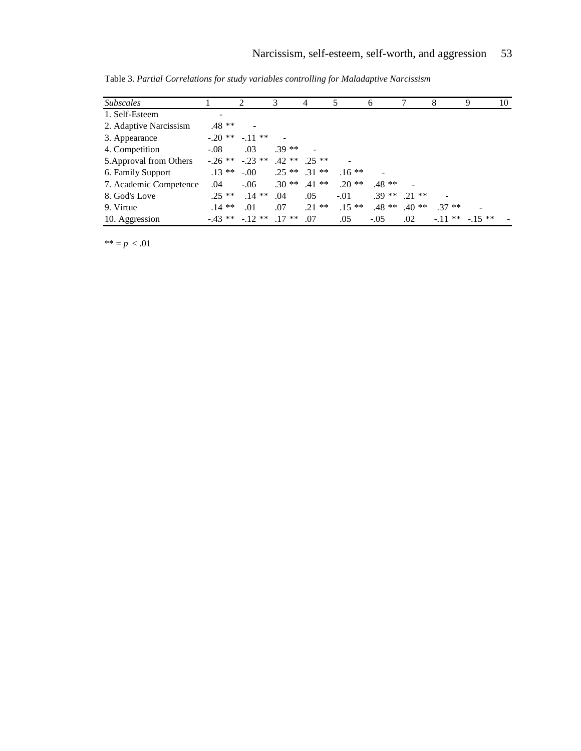| <i>Subscales</i>        |         | $\mathcal{D}_{\mathcal{L}}$     | 3       | 4                 | 5       | 6       |          | 8        | 10<br>9  |
|-------------------------|---------|---------------------------------|---------|-------------------|---------|---------|----------|----------|----------|
| 1. Self-Esteem          |         |                                 |         |                   |         |         |          |          |          |
| 2. Adaptive Narcissism  | $.48**$ |                                 |         |                   |         |         |          |          |          |
| 3. Appearance           |         | $-.20$ ** $-.11$ **             |         |                   |         |         |          |          |          |
| 4. Competition          | $-.08$  | .03                             | $.39**$ |                   |         |         |          |          |          |
| 5. Approval from Others |         | $-.26$ ** $-.23$ **             |         | $.42**$ .25 **    |         |         |          |          |          |
| 6. Family Support       | $.13**$ | $-.00$                          |         | $.25$ ** $.31$ ** | $.16**$ |         |          |          |          |
| 7. Academic Competence  | .04     | $-.06$                          |         | $.30**$ $.41**$   | $.20**$ | $.48**$ |          |          |          |
| 8. God's Love           | $.25**$ | $.14**$                         | .04     | .05               | $-.01$  | $.39**$ | $.21$ ** |          |          |
| 9. Virtue               | $.14**$ | .01                             | .07     | $.21***$          | $.15**$ | $.48**$ | $.40**$  | $.37**$  |          |
| 10. Aggression          |         | $-0.43$ ** $-0.12$ ** $0.17$ ** |         | .07               | .05     | $-.05$  | .02      | $-.11**$ | $-.15**$ |

Table 3. *Partial Correlations for study variables controlling for Maladaptive Narcissism* 

 $** = p < .01$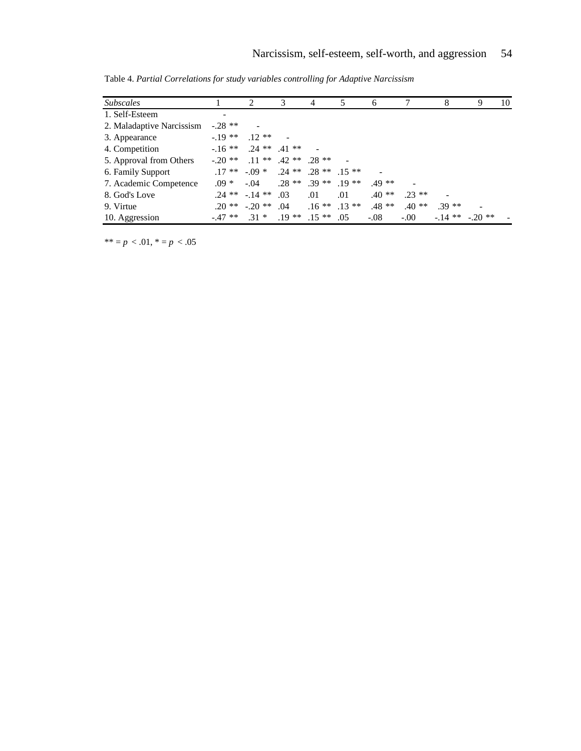| <i>Subscales</i>          |           | 2                         | 3                 | 4                          | 5                 | 6       |         | 8         | 9        | 10 |
|---------------------------|-----------|---------------------------|-------------------|----------------------------|-------------------|---------|---------|-----------|----------|----|
| 1. Self-Esteem            | -         |                           |                   |                            |                   |         |         |           |          |    |
| 2. Maladaptive Narcissism | $-.28$ ** |                           |                   |                            |                   |         |         |           |          |    |
| 3. Appearance             | $-19**$   | $12**$                    |                   |                            |                   |         |         |           |          |    |
| 4. Competition            | $-16$ **  |                           | $.24$ ** $.41$ ** |                            |                   |         |         |           |          |    |
| 5. Approval from Others   | $-20$ **  | $.11***$ $.42***$ $.28**$ |                   |                            |                   |         |         |           |          |    |
| 6. Family Support         |           | $.17$ ** $-.09$ *         |                   | $.24$ ** $.28$ ** 15 **    |                   |         |         |           |          |    |
| 7. Academic Competence    | $.09 *$   | $-.04$                    |                   | $.28$ ** $.39$ ** $.19$ ** |                   | $.49**$ |         |           |          |    |
| 8. God's Love             |           | $.24$ ** $-.14$ **        | .03               | .01                        | .01               | $.40**$ | $23$ ** |           |          |    |
| 9. Virtue                 | $.20**$   | $-.20**$                  | .04               |                            | $.16$ ** $.13$ ** | $.48**$ | $.40**$ | $.39**$   |          |    |
| 10. Aggression            | $-.47**$  | $.31*$                    | $.19**$           | $.15**$                    | .05               | $-.08$  | $-.00.$ | $-.14$ ** | $-.20**$ |    |

Table 4. *Partial Correlations for study variables controlling for Adaptive Narcissism* 

\*\*  $=p < .01, * = p < .05$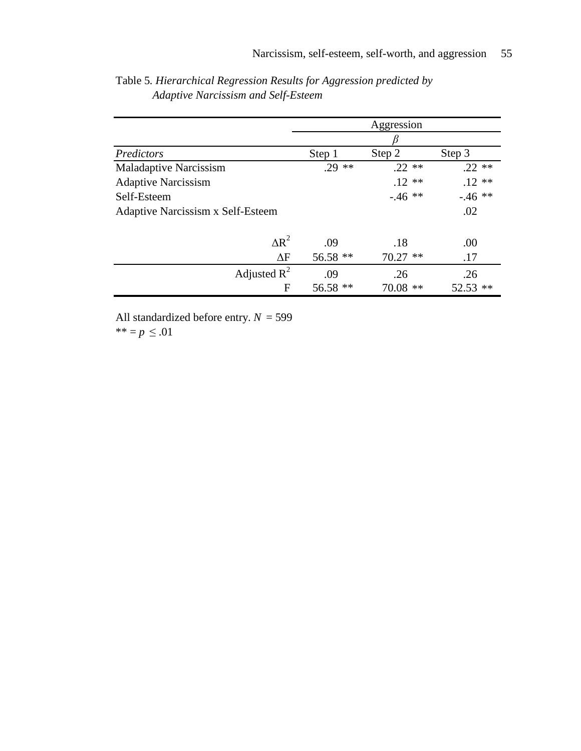|                                          | Aggression |            |          |  |  |
|------------------------------------------|------------|------------|----------|--|--|
|                                          |            |            |          |  |  |
| Predictors                               | Step 1     | Step 2     | Step 3   |  |  |
| Maladaptive Narcissism                   | $.29**$    | $.22$ **   | $.22$ ** |  |  |
| <b>Adaptive Narcissism</b>               |            | $.12**$    | $.12**$  |  |  |
| Self-Esteem                              |            | $-46$ **   | $-.46**$ |  |  |
| <b>Adaptive Narcissism x Self-Esteem</b> |            |            | .02      |  |  |
| $\Delta R^2$                             | .09        | .18        | .00      |  |  |
| $\Delta F$                               | 56.58 **   | $70.27$ ** | .17      |  |  |
| Adjusted $R^2$                           | .09        | .26        | .26      |  |  |
| F                                        | 56.58 **   | $70.08$ ** | 52.53 ** |  |  |

| Table 5. Hierarchical Regression Results for Aggression predicted by |  |  |
|----------------------------------------------------------------------|--|--|
| Adaptive Narcissism and Self-Esteem                                  |  |  |

All standardized before entry. *N* = 599 \*\* =  $p \le 0.01$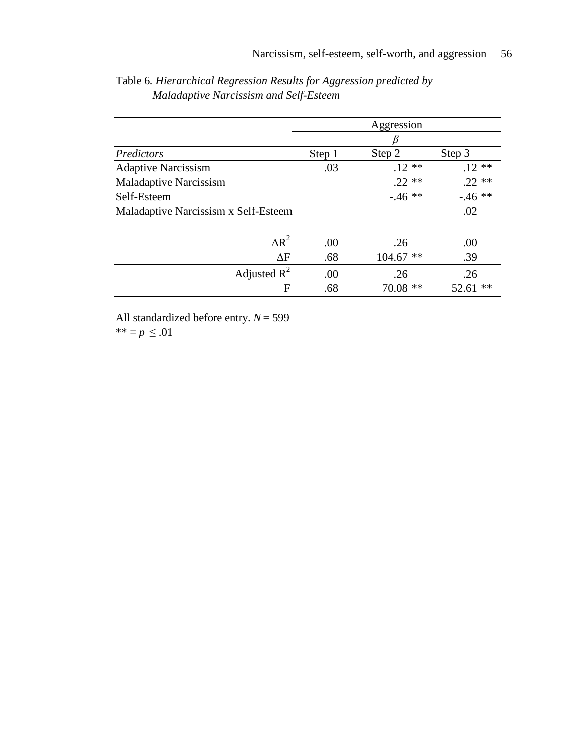|                                      | Aggression |             |             |  |  |
|--------------------------------------|------------|-------------|-------------|--|--|
|                                      |            |             |             |  |  |
| Predictors                           | Step 1     | Step 2      | Step 3      |  |  |
| <b>Adaptive Narcissism</b>           | .03        | $.12**$     | $.12**$     |  |  |
| <b>Maladaptive Narcissism</b>        |            | $.22**$     | $.22**$     |  |  |
| Self-Esteem                          |            | $-.46**$    | $-.46**$    |  |  |
| Maladaptive Narcissism x Self-Esteem |            |             | .02         |  |  |
| $\Delta R^2$                         | .00        | .26         | .00         |  |  |
| $\Delta F$                           | .68        | $104.67$ ** | .39         |  |  |
| Adjusted $R^2$                       | .00        | .26         | .26         |  |  |
| F                                    | .68        | $70.08$ **  | **<br>52.61 |  |  |

Table 6*. Hierarchical Regression Results for Aggression predicted by Maladaptive Narcissism and Self-Esteem*

All standardized before entry. *N* = 599

 $*$  ≠ =  $p \le 0.01$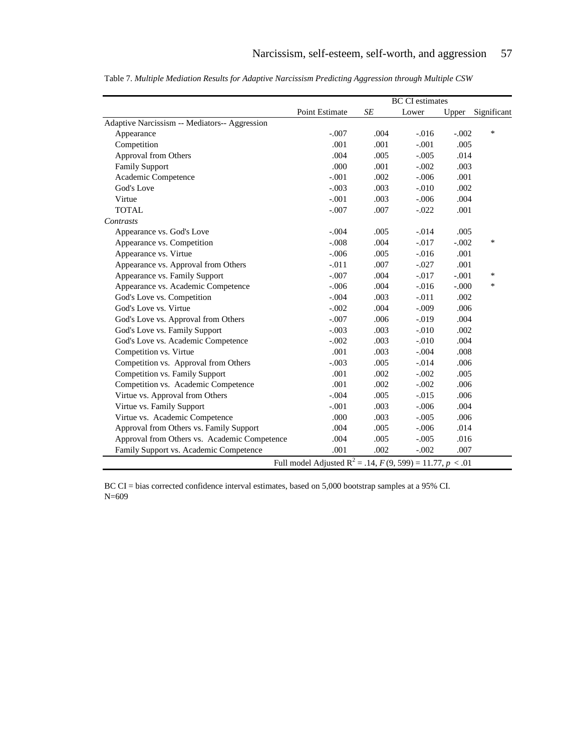|                                                                         | <b>BC</b> CI estimates |      |          |         |             |
|-------------------------------------------------------------------------|------------------------|------|----------|---------|-------------|
|                                                                         | Point Estimate         | SE   | Lower    | Upper   | Significant |
| Adaptive Narcissism -- Mediators-- Aggression                           |                        |      |          |         |             |
| Appearance                                                              | $-.007$                | .004 | $-.016$  | $-.002$ | *           |
| Competition                                                             | .001                   | .001 | $-.001$  | .005    |             |
| Approval from Others                                                    | .004                   | .005 | $-.005$  | .014    |             |
| <b>Family Support</b>                                                   | .000                   | .001 | $-.002$  | .003    |             |
| Academic Competence                                                     | $-.001$                | .002 | $-.006$  | .001    |             |
| God's Love                                                              | $-.003$                | .003 | $-.010$  | .002    |             |
| Virtue                                                                  | $-.001$                | .003 | $-.006$  | .004    |             |
| <b>TOTAL</b>                                                            | $-.007$                | .007 | $-.022$  | .001    |             |
| Contrasts                                                               |                        |      |          |         |             |
| Appearance vs. God's Love                                               | $-.004$                | .005 | $-.014$  | .005    |             |
| Appearance vs. Competition                                              | $-.008$                | .004 | $-.017$  | $-.002$ | *           |
| Appearance vs. Virtue                                                   | $-.006$                | .005 | $-.016$  | .001    |             |
| Appearance vs. Approval from Others                                     | $-.011$                | .007 | $-.027$  | .001    |             |
| Appearance vs. Family Support                                           | $-.007$                | .004 | $-.017$  | $-.001$ | *           |
| Appearance vs. Academic Competence                                      | $-.006$                | .004 | $-0.016$ | $-.000$ | *           |
| God's Love vs. Competition                                              | $-.004$                | .003 | $-.011$  | .002    |             |
| God's Love vs. Virtue                                                   | $-.002$                | .004 | $-.009$  | .006    |             |
| God's Love vs. Approval from Others                                     | $-.007$                | .006 | $-.019$  | .004    |             |
| God's Love vs. Family Support                                           | $-.003$                | .003 | $-.010$  | .002    |             |
| God's Love vs. Academic Competence                                      | $-.002$                | .003 | $-.010$  | .004    |             |
| Competition vs. Virtue                                                  | .001                   | .003 | $-.004$  | .008    |             |
| Competition vs. Approval from Others                                    | $-.003$                | .005 | $-.014$  | .006    |             |
| Competition vs. Family Support                                          | .001                   | .002 | $-.002$  | .005    |             |
| Competition vs. Academic Competence                                     | .001                   | .002 | $-.002$  | .006    |             |
| Virtue vs. Approval from Others                                         | $-.004$                | .005 | $-.015$  | .006    |             |
| Virtue vs. Family Support                                               | $-.001$                | .003 | $-.006$  | .004    |             |
| Virtue vs. Academic Competence                                          | .000                   | .003 | $-.005$  | .006    |             |
| Approval from Others vs. Family Support                                 | .004                   | .005 | $-.006$  | .014    |             |
| Approval from Others vs. Academic Competence                            | .004                   | .005 | $-.005$  | .016    |             |
| Family Support vs. Academic Competence                                  | .001                   | .002 | $-.002$  | .007    |             |
| Full model Adjusted R <sup>2</sup> = .14, $F(9, 599) = 11.77, p < 0.01$ |                        |      |          |         |             |

Table 7. *Multiple Mediation Results for Adaptive Narcissism Predicting Aggression through Multiple CSW* 

BC CI = bias corrected confidence interval estimates, based on 5,000 bootstrap samples at a 95% CI. N=609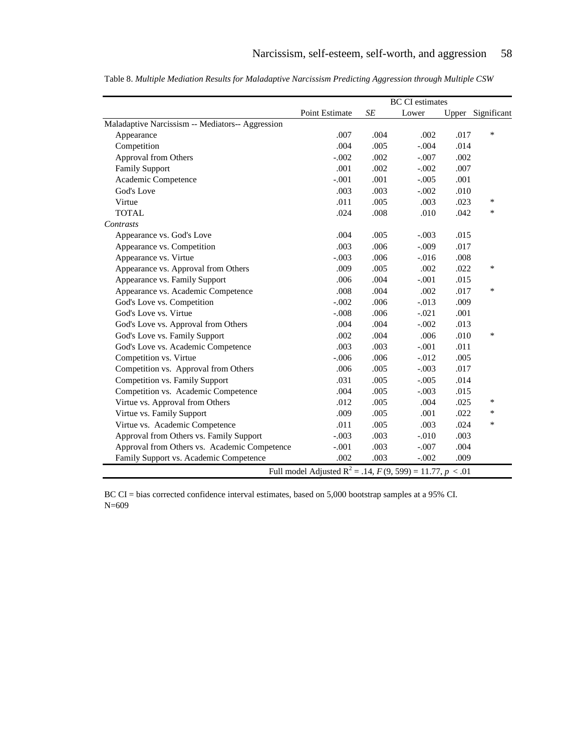|                                                                           | <b>BC</b> CI estimates |      |         |      |                   |  |
|---------------------------------------------------------------------------|------------------------|------|---------|------|-------------------|--|
|                                                                           | Point Estimate         | SE   | Lower   |      | Upper Significant |  |
| Maladaptive Narcissism -- Mediators-- Aggression                          |                        |      |         |      |                   |  |
| Appearance                                                                | .007                   | .004 | .002    | .017 | $\ast$            |  |
| Competition                                                               | .004                   | .005 | $-.004$ | .014 |                   |  |
| Approval from Others                                                      | $-.002$                | .002 | $-.007$ | .002 |                   |  |
| <b>Family Support</b>                                                     | .001                   | .002 | $-.002$ | .007 |                   |  |
| Academic Competence                                                       | $-.001$                | .001 | $-.005$ | .001 |                   |  |
| God's Love                                                                | .003                   | .003 | $-.002$ | .010 |                   |  |
| Virtue                                                                    | .011                   | .005 | .003    | .023 | *                 |  |
| <b>TOTAL</b>                                                              | .024                   | .008 | .010    | .042 | *                 |  |
| Contrasts                                                                 |                        |      |         |      |                   |  |
| Appearance vs. God's Love                                                 | .004                   | .005 | $-.003$ | .015 |                   |  |
| Appearance vs. Competition                                                | .003                   | .006 | $-.009$ | .017 |                   |  |
| Appearance vs. Virtue                                                     | $-.003$                | .006 | $-.016$ | .008 |                   |  |
| Appearance vs. Approval from Others                                       | .009                   | .005 | .002    | .022 | *                 |  |
| Appearance vs. Family Support                                             | .006                   | .004 | $-.001$ | .015 |                   |  |
| Appearance vs. Academic Competence                                        | .008                   | .004 | .002    | .017 | *                 |  |
| God's Love vs. Competition                                                | $-.002$                | .006 | $-.013$ | .009 |                   |  |
| God's Love vs. Virtue                                                     | $-.008$                | .006 | $-.021$ | .001 |                   |  |
| God's Love vs. Approval from Others                                       | .004                   | .004 | $-.002$ | .013 |                   |  |
| God's Love vs. Family Support                                             | .002                   | .004 | .006    | .010 | *                 |  |
| God's Love vs. Academic Competence                                        | .003                   | .003 | $-.001$ | .011 |                   |  |
| Competition vs. Virtue                                                    | $-.006$                | .006 | $-.012$ | .005 |                   |  |
| Competition vs. Approval from Others                                      | .006                   | .005 | $-.003$ | .017 |                   |  |
| Competition vs. Family Support                                            | .031                   | .005 | $-.005$ | .014 |                   |  |
| Competition vs. Academic Competence                                       | .004                   | .005 | $-.003$ | .015 |                   |  |
| Virtue vs. Approval from Others                                           | .012                   | .005 | .004    | .025 | *                 |  |
| Virtue vs. Family Support                                                 | .009                   | .005 | .001    | .022 | *                 |  |
| Virtue vs. Academic Competence                                            | .011                   | .005 | .003    | .024 | *                 |  |
| Approval from Others vs. Family Support                                   | $-.003$                | .003 | $-.010$ | .003 |                   |  |
| Approval from Others vs. Academic Competence                              | $-.001$                | .003 | $-.007$ | .004 |                   |  |
| Family Support vs. Academic Competence                                    | .002                   | .003 | $-.002$ | .009 |                   |  |
| Full model Adjusted R <sup>2</sup> = .14, $F(9, 599) = 11.77$ , $p < .01$ |                        |      |         |      |                   |  |

Table 8. *Multiple Mediation Results for Maladaptive Narcissism Predicting Aggression through Multiple CSW*

BC CI = bias corrected confidence interval estimates, based on 5,000 bootstrap samples at a 95% CI. N=609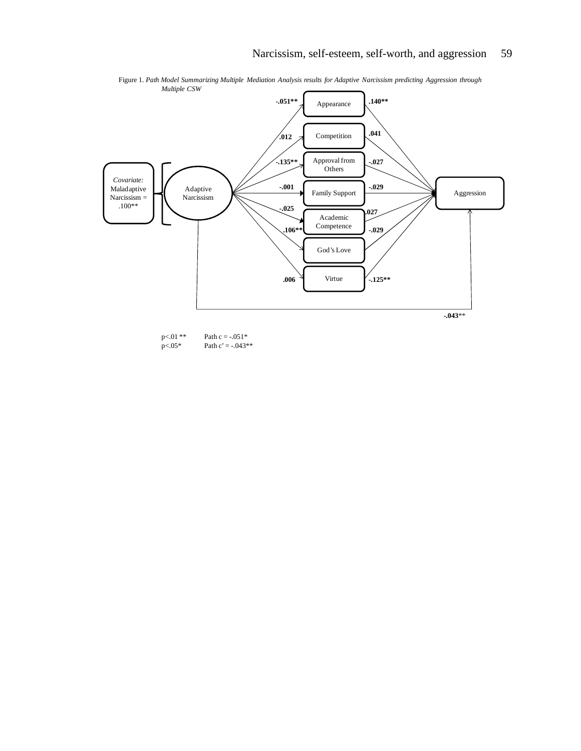

Figure 1. *Path Model Summarizing Multiple Mediation Analysis results for Adaptive Narcissism predicting Aggression through Multiple CSW*

> Path  $c = -.051*$ Path  $c' = -.043**$ p<.01 \*\* p<.05\*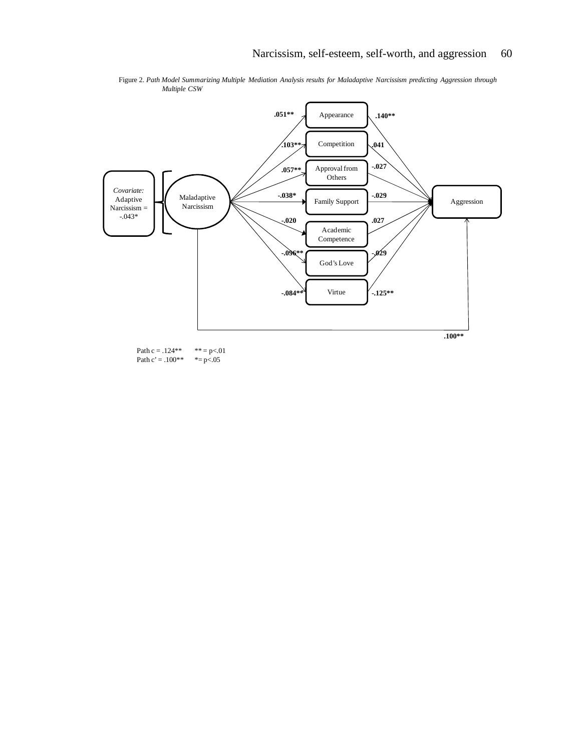

Figure 2*. Path Model Summarizing Multiple Mediation Analysis results for Maladaptive Narcissism predicting Aggression through Multiple CSW*

 $*$  = p<.01  $* = p < .05$ Path  $c = .124$ \*\* Path  $c' = .100**$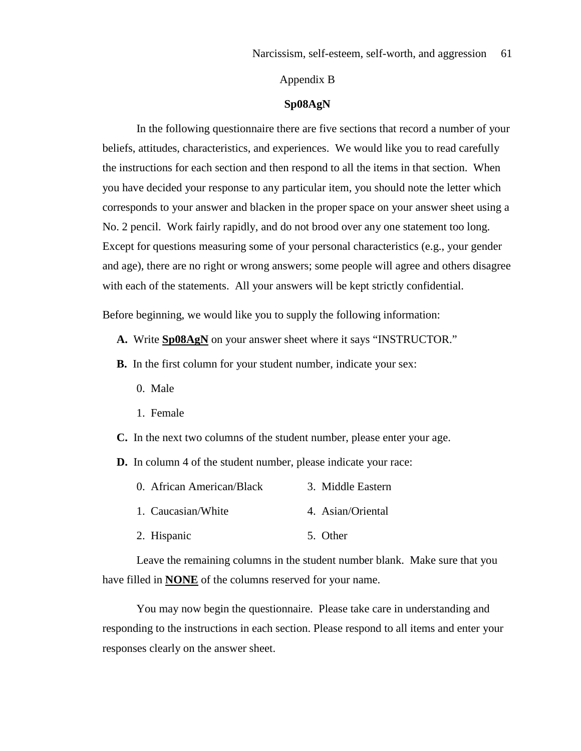# Appendix B

### **Sp08AgN**

In the following questionnaire there are five sections that record a number of your beliefs, attitudes, characteristics, and experiences. We would like you to read carefully the instructions for each section and then respond to all the items in that section. When you have decided your response to any particular item, you should note the letter which corresponds to your answer and blacken in the proper space on your answer sheet using a No. 2 pencil. Work fairly rapidly, and do not brood over any one statement too long. Except for questions measuring some of your personal characteristics (e.g., your gender and age), there are no right or wrong answers; some people will agree and others disagree with each of the statements. All your answers will be kept strictly confidential.

Before beginning, we would like you to supply the following information:

- **A.** Write **Sp08AgN** on your answer sheet where it says "INSTRUCTOR."
- **B.** In the first column for your student number, indicate your sex:
	- 0. Male
	- 1. Female
- **C.** In the next two columns of the student number, please enter your age.

**D.** In column 4 of the student number, please indicate your race:

| 0. African American/Black | 3. Middle Eastern |
|---------------------------|-------------------|
| 1. Caucasian/White        | 4. Asian/Oriental |

2. Hispanic 5. Other

Leave the remaining columns in the student number blank. Make sure that you have filled in **NONE** of the columns reserved for your name.

You may now begin the questionnaire. Please take care in understanding and responding to the instructions in each section. Please respond to all items and enter your responses clearly on the answer sheet.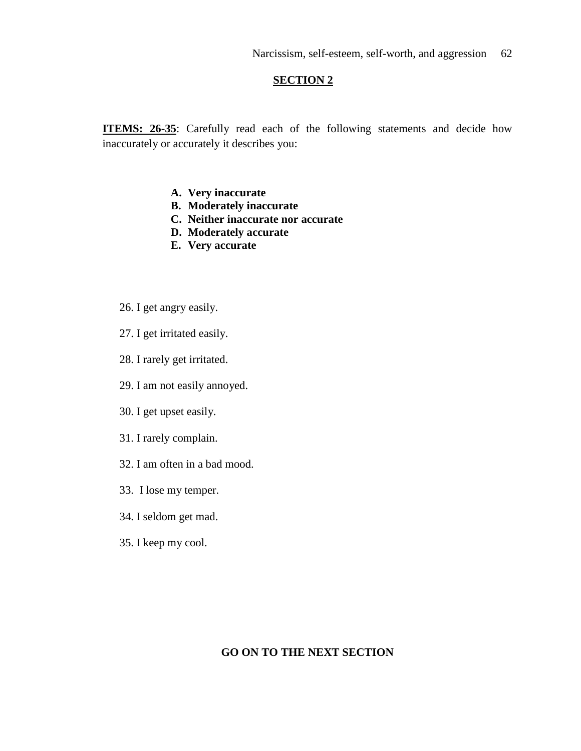# **SECTION 2**

**ITEMS: 26-35**: Carefully read each of the following statements and decide how inaccurately or accurately it describes you:

- **A. Very inaccurate**
- **B. Moderately inaccurate**
- **C. Neither inaccurate nor accurate**
- **D. Moderately accurate**
- **E. Very accurate**
- 26. I get angry easily.
- 27. I get irritated easily.
- 28. I rarely get irritated.
- 29. I am not easily annoyed.
- 30. I get upset easily.
- 31. I rarely complain.
- 32. I am often in a bad mood.
- 33. I lose my temper.
- 34. I seldom get mad.
- 35. I keep my cool.

# **GO ON TO THE NEXT SECTION**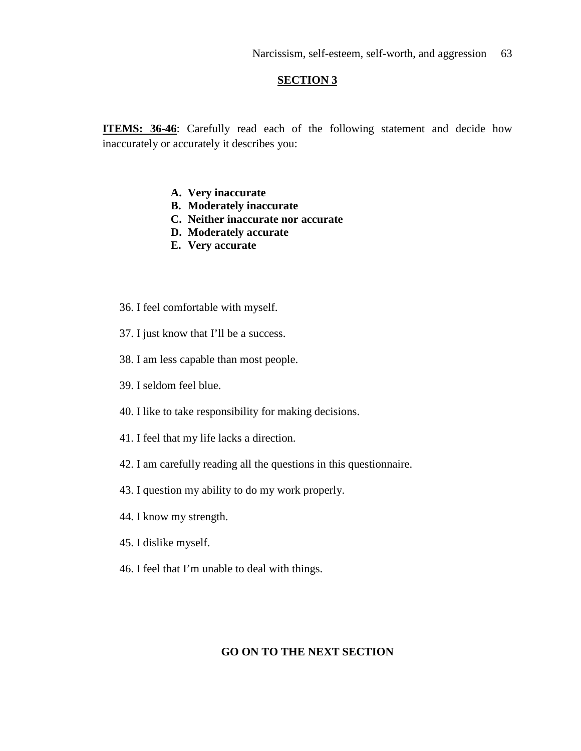#### **SECTION 3**

**ITEMS: 36-46**: Carefully read each of the following statement and decide how inaccurately or accurately it describes you:

- **A. Very inaccurate**
- **B. Moderately inaccurate**
- **C. Neither inaccurate nor accurate**
- **D. Moderately accurate**
- **E. Very accurate**
- 36. I feel comfortable with myself.
- 37. I just know that I'll be a success.
- 38. I am less capable than most people.
- 39. I seldom feel blue.
- 40. I like to take responsibility for making decisions.
- 41. I feel that my life lacks a direction.
- 42. I am carefully reading all the questions in this questionnaire.
- 43. I question my ability to do my work properly.
- 44. I know my strength.
- 45. I dislike myself.
- 46. I feel that I'm unable to deal with things.

# **GO ON TO THE NEXT SECTION**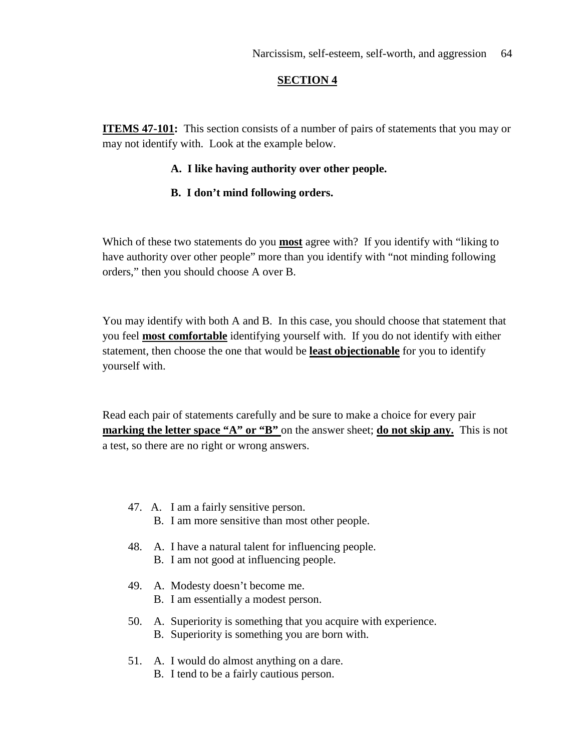#### **SECTION 4**

**ITEMS 47-101:** This section consists of a number of pairs of statements that you may or may not identify with. Look at the example below.

#### **A. I like having authority over other people.**

### **B. I don't mind following orders.**

Which of these two statements do you **most** agree with? If you identify with "liking to have authority over other people" more than you identify with "not minding following orders," then you should choose A over B.

You may identify with both A and B. In this case, you should choose that statement that you feel **most comfortable** identifying yourself with. If you do not identify with either statement, then choose the one that would be **least objectionable** for you to identify yourself with.

Read each pair of statements carefully and be sure to make a choice for every pair **marking the letter space "A" or "B"** on the answer sheet; **do not skip any.** This is not a test, so there are no right or wrong answers.

- 47. A. I am a fairly sensitive person.
	- B. I am more sensitive than most other people.
- 48. A. I have a natural talent for influencing people. B. I am not good at influencing people.
- 49. A. Modesty doesn't become me. B. I am essentially a modest person.
- 50. A. Superiority is something that you acquire with experience. B. Superiority is something you are born with.
- 51. A. I would do almost anything on a dare. B. I tend to be a fairly cautious person.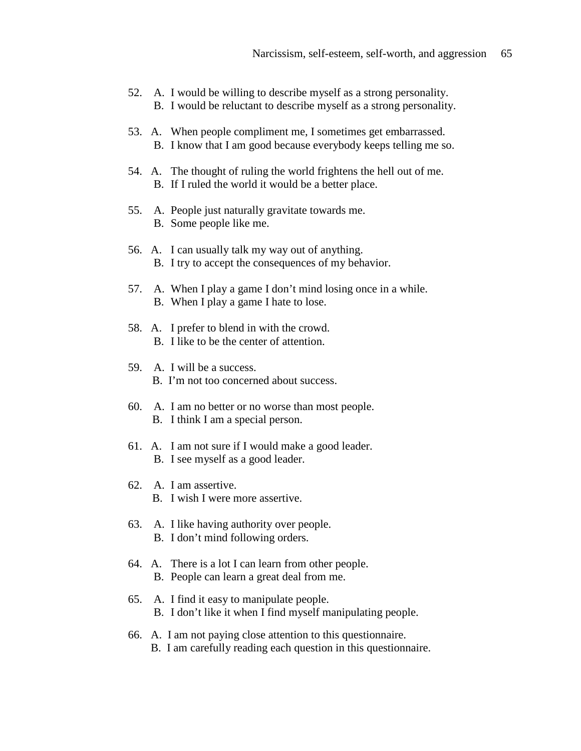- 52. A. I would be willing to describe myself as a strong personality. B. I would be reluctant to describe myself as a strong personality.
- 53. A. When people compliment me, I sometimes get embarrassed. B. I know that I am good because everybody keeps telling me so.
- 54. A. The thought of ruling the world frightens the hell out of me. B. If I ruled the world it would be a better place.
- 55. A. People just naturally gravitate towards me. B. Some people like me.
- 56. A. I can usually talk my way out of anything. B. I try to accept the consequences of my behavior.
- 57. A. When I play a game I don't mind losing once in a while. B. When I play a game I hate to lose.
- 58. A. I prefer to blend in with the crowd. B. I like to be the center of attention.
- 59. A. I will be a success. B. I'm not too concerned about success.
- 60. A. I am no better or no worse than most people. B. I think I am a special person.
- 61. A. I am not sure if I would make a good leader. B. I see myself as a good leader.
- 62. A. I am assertive. B. I wish I were more assertive.
- 63. A. I like having authority over people. B. I don't mind following orders.
- 64. A. There is a lot I can learn from other people. B. People can learn a great deal from me.
- 65. A. I find it easy to manipulate people. B. I don't like it when I find myself manipulating people.
- 66. A. I am not paying close attention to this questionnaire. B. I am carefully reading each question in this questionnaire.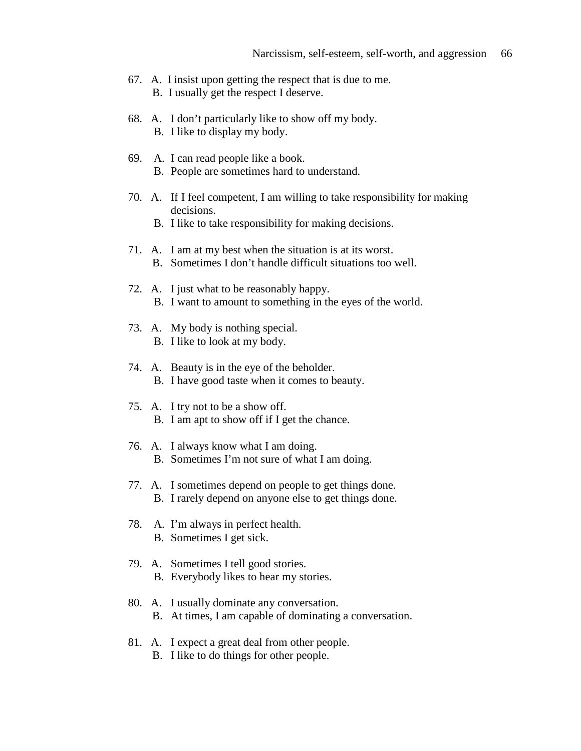- 67. A. I insist upon getting the respect that is due to me. B. I usually get the respect I deserve.
- 68. A. I don't particularly like to show off my body.
	- B. I like to display my body.
- 69. A. I can read people like a book. B. People are sometimes hard to understand.
- 70. A. If I feel competent, I am willing to take responsibility for making decisions.
	- B. I like to take responsibility for making decisions.
- 71. A. I am at my best when the situation is at its worst. B. Sometimes I don't handle difficult situations too well.
- 72. A. I just what to be reasonably happy. B. I want to amount to something in the eyes of the world.
- 73. A. My body is nothing special. B. I like to look at my body.
- 74. A. Beauty is in the eye of the beholder. B. I have good taste when it comes to beauty.
- 75. A. I try not to be a show off. B. I am apt to show off if I get the chance.
- 76. A. I always know what I am doing. B. Sometimes I'm not sure of what I am doing.
- 77. A. I sometimes depend on people to get things done. B. I rarely depend on anyone else to get things done.
- 78. A. I'm always in perfect health. B. Sometimes I get sick.
- 79. A. Sometimes I tell good stories. B. Everybody likes to hear my stories.
- 80. A. I usually dominate any conversation. B. At times, I am capable of dominating a conversation.
- 81. A. I expect a great deal from other people. B. I like to do things for other people.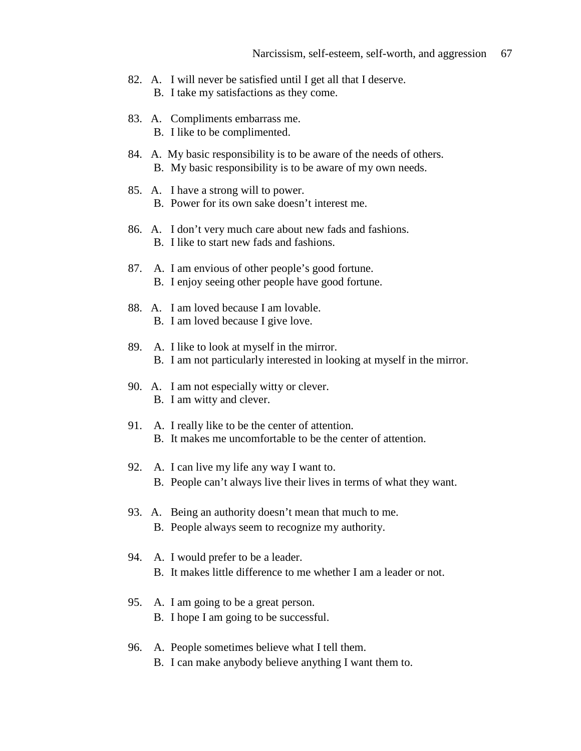- 82. A. I will never be satisfied until I get all that I deserve.
	- B. I take my satisfactions as they come.
- 83. A. Compliments embarrass me.
	- B. I like to be complimented.
- 84. A. My basic responsibility is to be aware of the needs of others. B. My basic responsibility is to be aware of my own needs.
- 85. A. I have a strong will to power. B. Power for its own sake doesn't interest me.
- 86. A. I don't very much care about new fads and fashions. B. I like to start new fads and fashions.
- 87. A. I am envious of other people's good fortune. B. I enjoy seeing other people have good fortune.
- 88. A. I am loved because I am lovable. B. I am loved because I give love.
- 89. A. I like to look at myself in the mirror. B. I am not particularly interested in looking at myself in the mirror.
- 90. A. I am not especially witty or clever. B. I am witty and clever.
- 91. A. I really like to be the center of attention. B. It makes me uncomfortable to be the center of attention.
- 92. A. I can live my life any way I want to. B. People can't always live their lives in terms of what they want.
- 93. A. Being an authority doesn't mean that much to me.
	- B. People always seem to recognize my authority.
- 94. A. I would prefer to be a leader.
	- B. It makes little difference to me whether I am a leader or not.
- 95. A. I am going to be a great person.
	- B. I hope I am going to be successful.
- 96. A. People sometimes believe what I tell them.
	- B. I can make anybody believe anything I want them to.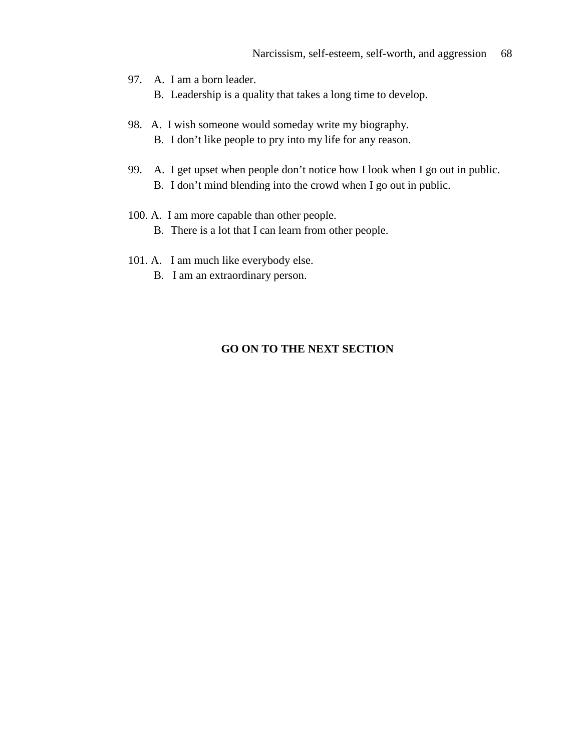- 97. A. I am a born leader.
	- B. Leadership is a quality that takes a long time to develop.
- 98. A. I wish someone would someday write my biography.
	- B. I don't like people to pry into my life for any reason.
- 99. A. I get upset when people don't notice how I look when I go out in public. B. I don't mind blending into the crowd when I go out in public.
- 100. A. I am more capable than other people.
	- B. There is a lot that I can learn from other people.
- 101. A. I am much like everybody else.
	- B. I am an extraordinary person.

# **GO ON TO THE NEXT SECTION**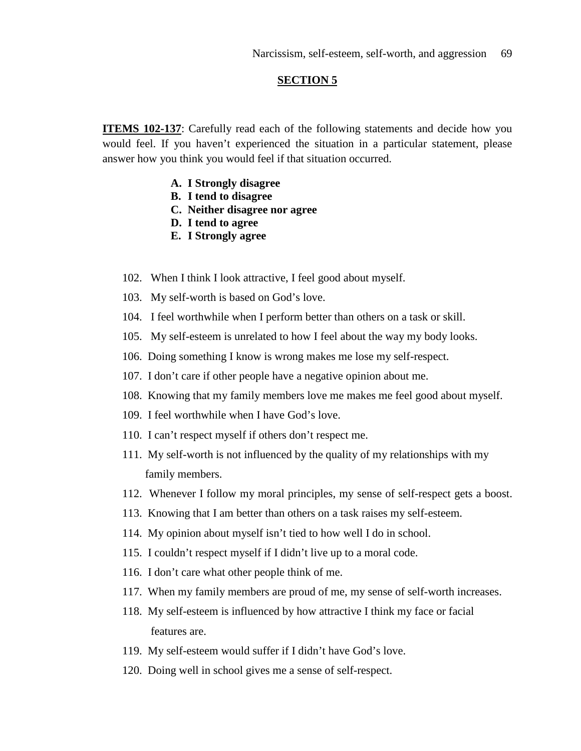## **SECTION 5**

**ITEMS 102-137**: Carefully read each of the following statements and decide how you would feel. If you haven't experienced the situation in a particular statement, please answer how you think you would feel if that situation occurred.

- **A. I Strongly disagree**
- **B. I tend to disagree**
- **C. Neither disagree nor agree**
- **D. I tend to agree**
- **E. I Strongly agree**
- 102. When I think I look attractive, I feel good about myself.
- 103. My self-worth is based on God's love.
- 104. I feel worthwhile when I perform better than others on a task or skill.
- 105. My self-esteem is unrelated to how I feel about the way my body looks.
- 106. Doing something I know is wrong makes me lose my self-respect.
- 107. I don't care if other people have a negative opinion about me.
- 108. Knowing that my family members love me makes me feel good about myself.
- 109. I feel worthwhile when I have God's love.
- 110. I can't respect myself if others don't respect me.
- 111. My self-worth is not influenced by the quality of my relationships with my family members.
- 112. Whenever I follow my moral principles, my sense of self-respect gets a boost.
- 113. Knowing that I am better than others on a task raises my self-esteem.
- 114. My opinion about myself isn't tied to how well I do in school.
- 115. I couldn't respect myself if I didn't live up to a moral code.
- 116. I don't care what other people think of me.
- 117. When my family members are proud of me, my sense of self-worth increases.
- 118. My self-esteem is influenced by how attractive I think my face or facial features are.
- 119. My self-esteem would suffer if I didn't have God's love.
- 120. Doing well in school gives me a sense of self-respect.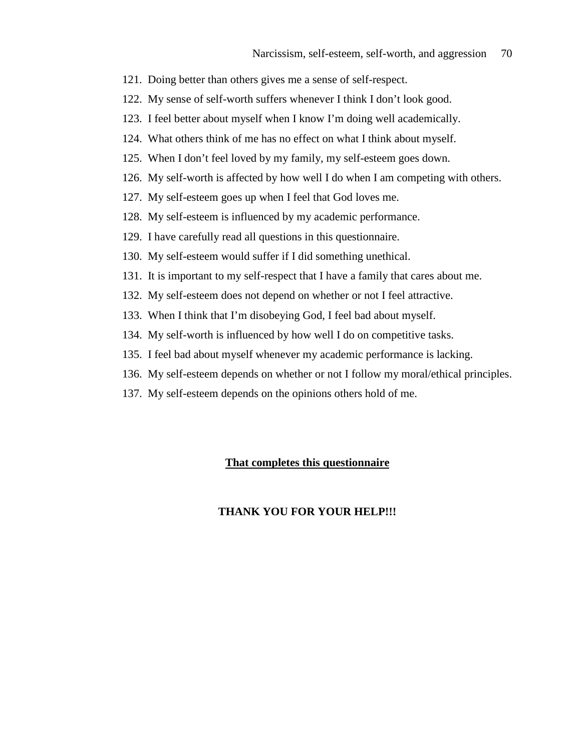- 121. Doing better than others gives me a sense of self-respect.
- 122. My sense of self-worth suffers whenever I think I don't look good.
- 123. I feel better about myself when I know I'm doing well academically.
- 124. What others think of me has no effect on what I think about myself.
- 125. When I don't feel loved by my family, my self-esteem goes down.
- 126. My self-worth is affected by how well I do when I am competing with others.
- 127. My self-esteem goes up when I feel that God loves me.
- 128. My self-esteem is influenced by my academic performance.
- 129. I have carefully read all questions in this questionnaire.
- 130. My self-esteem would suffer if I did something unethical.
- 131. It is important to my self-respect that I have a family that cares about me.
- 132. My self-esteem does not depend on whether or not I feel attractive.
- 133. When I think that I'm disobeying God, I feel bad about myself.
- 134. My self-worth is influenced by how well I do on competitive tasks.
- 135. I feel bad about myself whenever my academic performance is lacking.
- 136. My self-esteem depends on whether or not I follow my moral/ethical principles.
- 137. My self-esteem depends on the opinions others hold of me.

# **That completes this questionnaire**

# **THANK YOU FOR YOUR HELP!!!**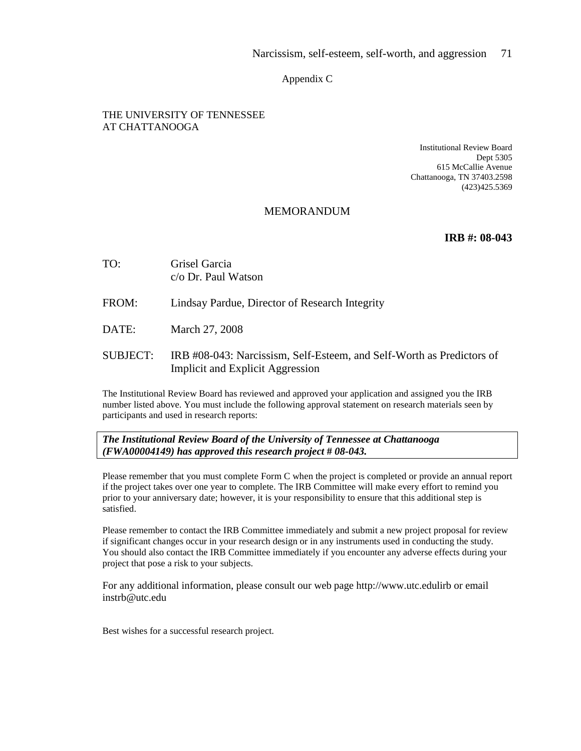## Appendix C

#### THE UNIVERSITY OF TENNESSEE AT CHATTANOOGA

Institutional Review Board Dept 5305 615 McCallie Avenue Chattanooga, TN 37403.2598 (423)425.5369

### MEMORANDUM

#### **IRB #: 08-043**

| TO:             | Grisel Garcia<br>c/o Dr. Paul Watson                                                                      |
|-----------------|-----------------------------------------------------------------------------------------------------------|
| FROM:           | Lindsay Pardue, Director of Research Integrity                                                            |
| DATE:           | March 27, 2008                                                                                            |
| <b>SUBJECT:</b> | IRB #08-043: Narcissism, Self-Esteem, and Self-Worth as Predictors of<br>Implicit and Explicit Aggression |

The Institutional Review Board has reviewed and approved your application and assigned you the IRB number listed above. You must include the following approval statement on research materials seen by participants and used in research reports:

*The Institutional Review Board of the University of Tennessee at Chattanooga (FWA00004149) has approved this research project # 08-043.* 

Please remember that you must complete Form C when the project is completed or provide an annual report if the project takes over one year to complete. The IRB Committee will make every effort to remind you prior to your anniversary date; however, it is your responsibility to ensure that this additional step is satisfied.

Please remember to contact the IRB Committee immediately and submit a new project proposal for review if significant changes occur in your research design or in any instruments used in conducting the study. You should also contact the IRB Committee immediately if you encounter any adverse effects during your project that pose a risk to your subjects.

For any additional information, please consult our web page http://www.utc.edulirb or email instrb@utc.edu

Best wishes for a successful research project.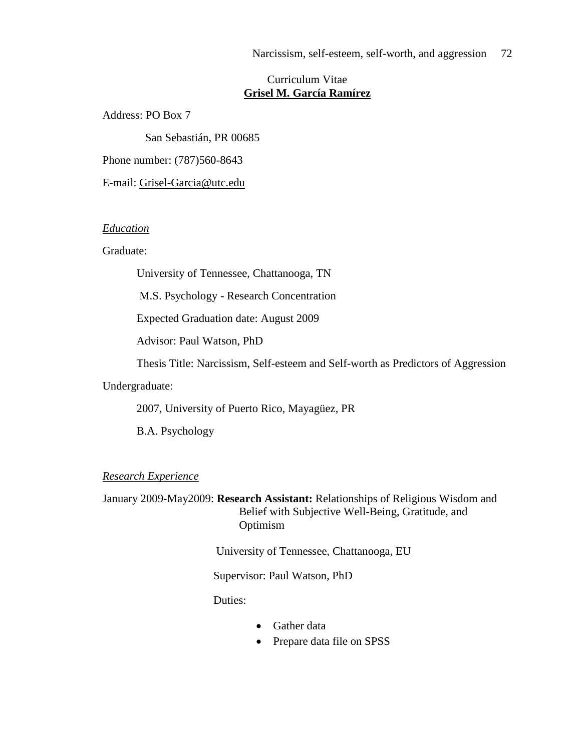# Curriculum Vitae **Grisel M. García Ramírez**

Address: PO Box 7

San Sebastián, PR 00685

Phone number: (787)560-8643

E-mail: Grisel-Garcia@utc.edu

#### *Education*

Graduate:

University of Tennessee, Chattanooga, TN

M.S. Psychology - Research Concentration

Expected Graduation date: August 2009

Advisor: Paul Watson, PhD

Thesis Title: Narcissism, Self-esteem and Self-worth as Predictors of Aggression

# Undergraduate:

2007, University of Puerto Rico, Mayagüez, PR

B.A. Psychology

# *Research Experience*

January 2009-May2009: **Research Assistant:** Relationships of Religious Wisdom and Belief with Subjective Well-Being, Gratitude, and Optimism

University of Tennessee, Chattanooga, EU

Supervisor: Paul Watson, PhD

Duties:

- Gather data
- Prepare data file on SPSS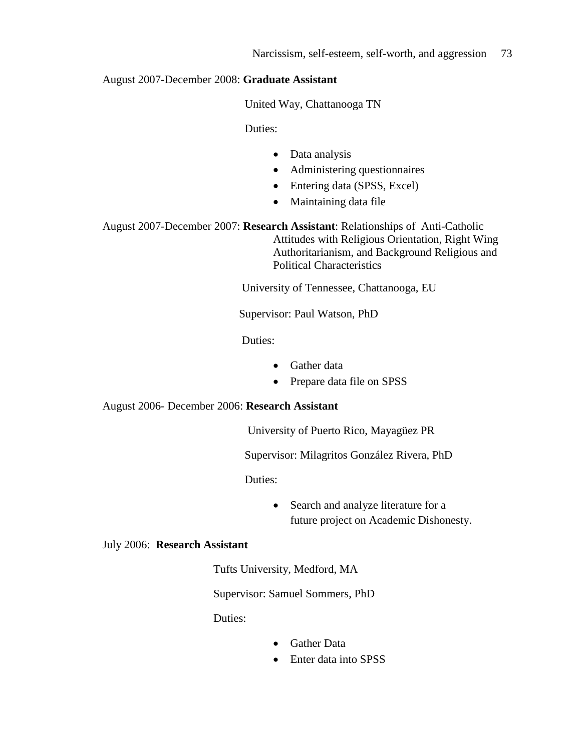# August 2007-December 2008: **Graduate Assistant**

United Way, Chattanooga TN

Duties:

- Data analysis
- Administering questionnaires
- Entering data (SPSS, Excel)
- Maintaining data file

August 2007-December 2007: **Research Assistant**: Relationships of Anti-Catholic Attitudes with Religious Orientation, Right Wing Authoritarianism, and Background Religious and Political Characteristics

University of Tennessee, Chattanooga, EU

Supervisor: Paul Watson, PhD

### Duties:

- Gather data
- Prepare data file on SPSS

# August 2006- December 2006: **Research Assistant**

University of Puerto Rico, Mayagüez PR

Supervisor: Milagritos González Rivera, PhD

Duties:

• Search and analyze literature for a future project on Academic Dishonesty.

#### July 2006: **Research Assistant**

Tufts University, Medford, MA

Supervisor: Samuel Sommers, PhD

Duties:

- Gather Data
- Enter data into SPSS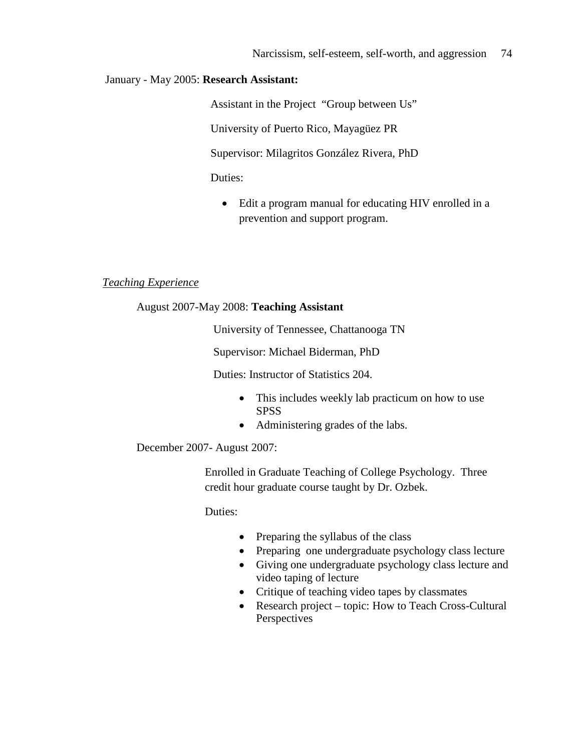# January - May 2005: **Research Assistant:**

Assistant in the Project "Group between Us"

University of Puerto Rico, Mayagüez PR

Supervisor: Milagritos González Rivera, PhD

Duties:

• Edit a program manual for educating HIV enrolled in a prevention and support program.

# *Teaching Experience*

### August 2007-May 2008: **Teaching Assistant**

University of Tennessee, Chattanooga TN

Supervisor: Michael Biderman, PhD

Duties: Instructor of Statistics 204.

- This includes weekly lab practicum on how to use SPSS
- Administering grades of the labs.

December 2007- August 2007:

Enrolled in Graduate Teaching of College Psychology. Three credit hour graduate course taught by Dr. Ozbek.

Duties:

- Preparing the syllabus of the class
- Preparing one undergraduate psychology class lecture
- Giving one undergraduate psychology class lecture and video taping of lecture
- Critique of teaching video tapes by classmates
- Research project topic: How to Teach Cross-Cultural Perspectives